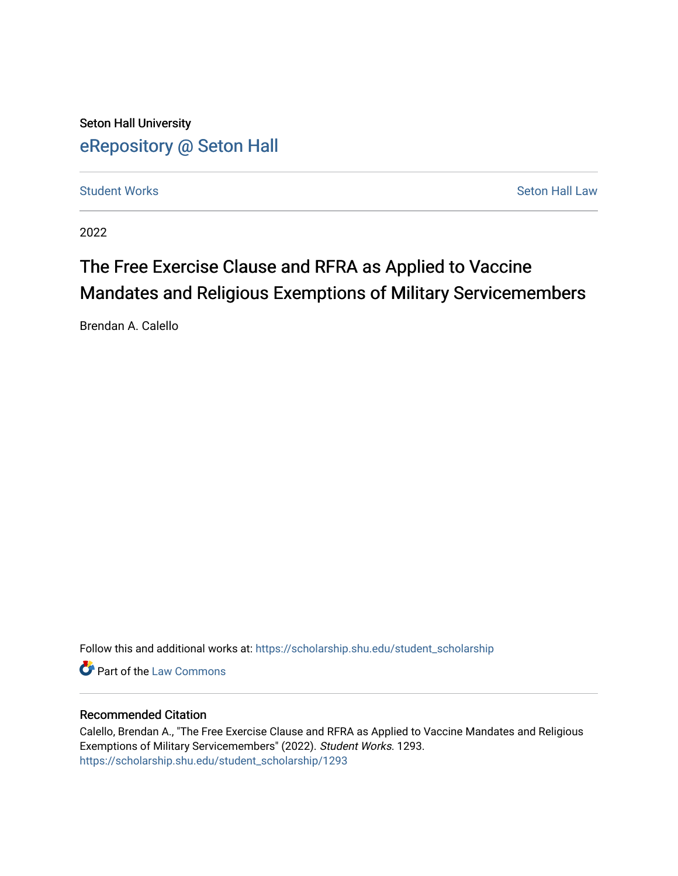Seton Hall University [eRepository @ Seton Hall](https://scholarship.shu.edu/)

**[Student Works](https://scholarship.shu.edu/student_scholarship) Seton Hall Law** Seton Hall Law

2022

# The Free Exercise Clause and RFRA as Applied to Vaccine Mandates and Religious Exemptions of Military Servicemembers

Brendan A. Calello

Follow this and additional works at: [https://scholarship.shu.edu/student\\_scholarship](https://scholarship.shu.edu/student_scholarship?utm_source=scholarship.shu.edu%2Fstudent_scholarship%2F1293&utm_medium=PDF&utm_campaign=PDFCoverPages) 

**Part of the [Law Commons](http://network.bepress.com/hgg/discipline/578?utm_source=scholarship.shu.edu%2Fstudent_scholarship%2F1293&utm_medium=PDF&utm_campaign=PDFCoverPages)** 

#### Recommended Citation

Calello, Brendan A., "The Free Exercise Clause and RFRA as Applied to Vaccine Mandates and Religious Exemptions of Military Servicemembers" (2022). Student Works. 1293. [https://scholarship.shu.edu/student\\_scholarship/1293](https://scholarship.shu.edu/student_scholarship/1293?utm_source=scholarship.shu.edu%2Fstudent_scholarship%2F1293&utm_medium=PDF&utm_campaign=PDFCoverPages)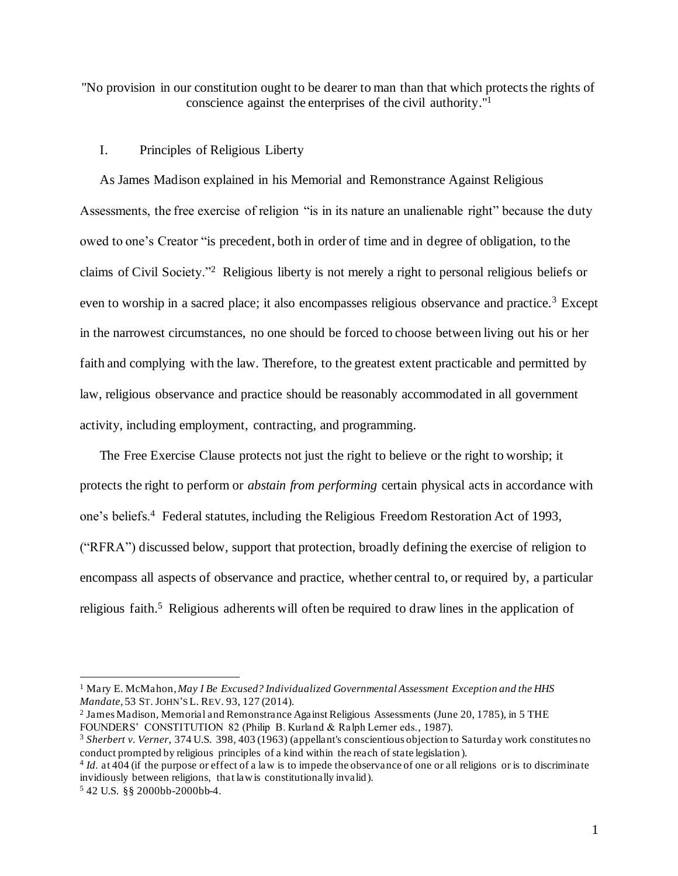"No provision in our constitution ought to be dearer to man than that which protects the rights of conscience against the enterprises of the civil authority." 1

## I. Principles of Religious Liberty

As James Madison explained in his Memorial and Remonstrance Against Religious Assessments, the free exercise of religion "is in its nature an unalienable right" because the duty owed to one's Creator "is precedent, both in order of time and in degree of obligation, to the claims of Civil Society."<sup>2</sup> Religious liberty is not merely a right to personal religious beliefs or even to worship in a sacred place; it also encompasses religious observance and practice.<sup>3</sup> Except in the narrowest circumstances, no one should be forced to choose between living out his or her faith and complying with the law. Therefore, to the greatest extent practicable and permitted by law, religious observance and practice should be reasonably accommodated in all government activity, including employment, contracting, and programming.

The Free Exercise Clause protects not just the right to believe or the right to worship; it protects the right to perform or *abstain from performing* certain physical acts in accordance with one's beliefs.<sup>4</sup> Federal statutes, including the Religious Freedom Restoration Act of 1993, ("RFRA") discussed below, support that protection, broadly defining the exercise of religion to encompass all aspects of observance and practice, whether central to, or required by, a particular religious faith.<sup>5</sup> Religious adherents will often be required to draw lines in the application of

<sup>1</sup> Mary E. McMahon, *May I Be Excused? Individualized Governmental Assessment Exception and the HHS Mandate*, 53 ST. JOHN'S L. REV. 93, 127 (2014).

<sup>2</sup> James Madison, Memorial and Remonstrance Against Religious Assessments (June 20, 1785), in 5 THE FOUNDERS' CONSTITUTION 82 (Philip B. Kurland & Ralph Lerner eds., 1987).

<sup>3</sup> *Sherbert v. Verner*, 374 U.S. 398, 403 (1963) (appellant's conscientious objection to Saturday work constitutes no conduct prompted by religious principles of a kind within the reach of state legislation ).

<sup>4</sup> *Id.* at 404 (if the purpose or effect of a law is to impede the observance of one or all religions or is to discriminate invidiously between religions, that law is constitutionally invalid).

<sup>5</sup> 42 U.S. §§ 2000bb-2000bb-4.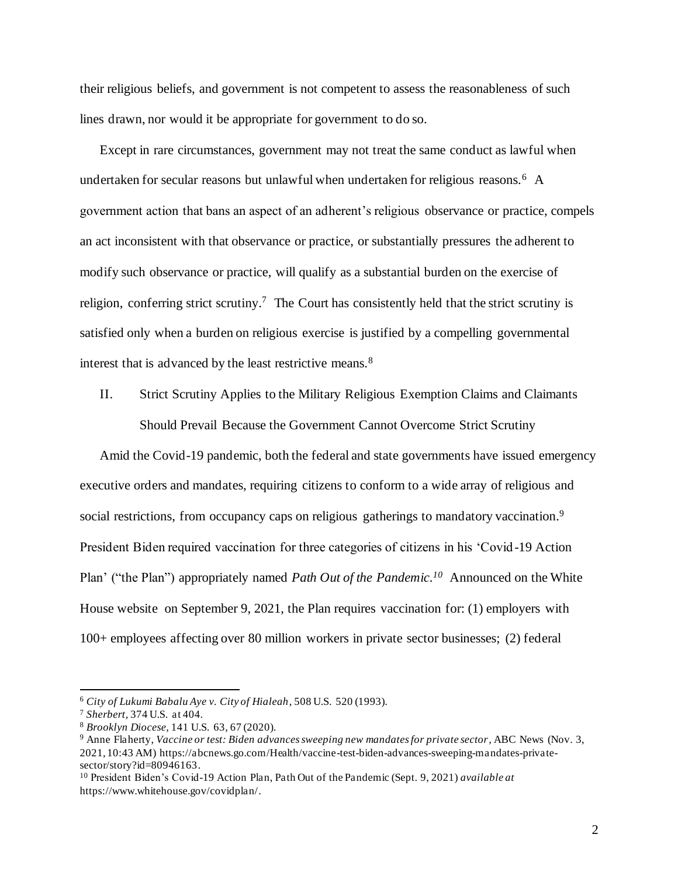their religious beliefs, and government is not competent to assess the reasonableness of such lines drawn, nor would it be appropriate for government to do so.

Except in rare circumstances, government may not treat the same conduct as lawful when undertaken for secular reasons but unlawful when undertaken for religious reasons.<sup>6</sup> A government action that bans an aspect of an adherent's religious observance or practice, compels an act inconsistent with that observance or practice, or substantially pressures the adherent to modify such observance or practice, will qualify as a substantial burden on the exercise of religion, conferring strict scrutiny.<sup>7</sup> The Court has consistently held that the strict scrutiny is satisfied only when a burden on religious exercise is justified by a compelling governmental interest that is advanced by the least restrictive means.<sup>8</sup>

II. Strict Scrutiny Applies to the Military Religious Exemption Claims and Claimants Should Prevail Because the Government Cannot Overcome Strict Scrutiny

Amid the Covid-19 pandemic, both the federal and state governments have issued emergency executive orders and mandates, requiring citizens to conform to a wide array of religious and social restrictions, from occupancy caps on religious gatherings to mandatory vaccination.<sup>9</sup> President Biden required vaccination for three categories of citizens in his 'Covid-19 Action Plan' ("the Plan") appropriately named *Path Out of the Pandemic. <sup>10</sup>* Announced on the White House website on September 9, 2021, the Plan requires vaccination for: (1) employers with 100+ employees affecting over 80 million workers in private sector businesses; (2) federal

<sup>6</sup> *City of Lukumi Babalu Aye v. City of Hialeah*, 508 U.S. 520 (1993).

<sup>7</sup> *Sherbert,* 374 U.S. at 404.

<sup>8</sup> *Brooklyn Diocese*, 141 U.S. 63, 67 (2020).

<sup>9</sup> Anne Flaherty, *Vaccine or test: Biden advances sweeping new mandates for private sector,* ABC News (Nov. 3, 2021, 10:43 AM) https://abcnews.go.com/Health/vaccine-test-biden-advances-sweeping-mandates-privatesector/story?id=80946163.

<sup>10</sup> President Biden's Covid-19 Action Plan, Path Out of the Pandemic (Sept. 9, 2021) *available at*  https://www.whitehouse.gov/covidplan/.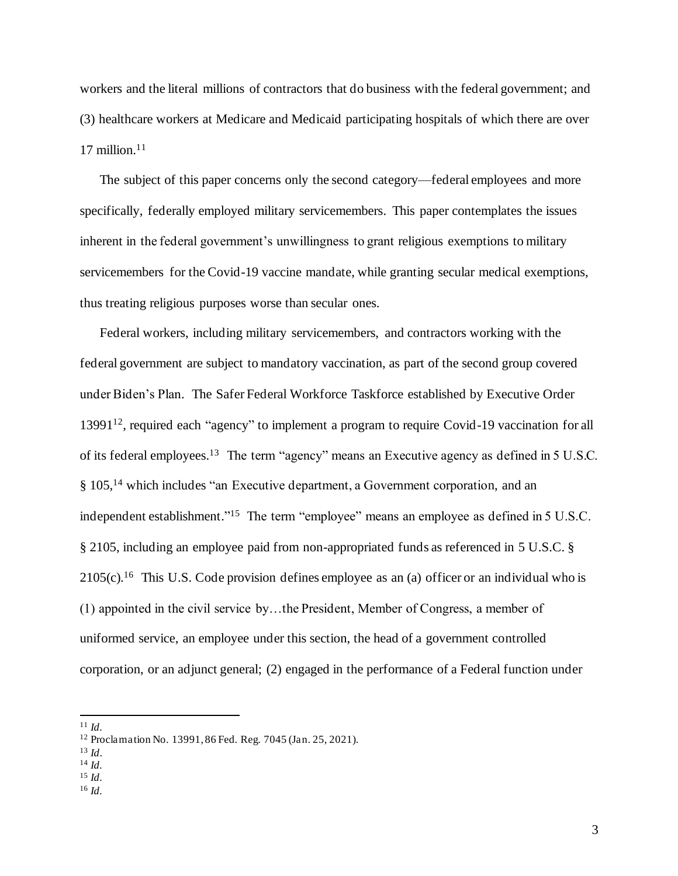workers and the literal millions of contractors that do business with the federal government; and (3) healthcare workers at Medicare and Medicaid participating hospitals of which there are over 17 million. $11$ 

The subject of this paper concerns only the second category—federal employees and more specifically, federally employed military servicemembers. This paper contemplates the issues inherent in the federal government's unwillingness to grant religious exemptions to military servicemembers for the Covid-19 vaccine mandate, while granting secular medical exemptions, thus treating religious purposes worse than secular ones.

Federal workers, including military servicemembers, and contractors working with the federal government are subject to mandatory vaccination, as part of the second group covered under Biden's Plan. The Safer Federal Workforce Taskforce established by Executive Order 13991<sup>12</sup>, required each "agency" to implement a program to require Covid-19 vaccination for all of its federal employees.<sup>13</sup> The term "agency" means an Executive agency as defined in 5 U.S.C. § 105,<sup>14</sup> which includes "an Executive department, a Government corporation, and an independent establishment."<sup>15</sup> The term "employee" means an employee as defined in 5 U.S.C. § 2105, including an employee paid from non-appropriated funds as referenced in 5 U.S.C. §  $2105(c)$ .<sup>16</sup> This U.S. Code provision defines employee as an (a) officer or an individual who is (1) appointed in the civil service by…the President, Member of Congress, a member of uniformed service, an employee under this section, the head of a government controlled corporation, or an adjunct general; (2) engaged in the performance of a Federal function under

<sup>15</sup> *Id.*

<sup>11</sup> *Id.*

<sup>12</sup> Proclamation No. 13991, 86 Fed. Reg. 7045 (Jan. 25, 2021).

<sup>13</sup> *Id*.

<sup>14</sup> *Id.*

<sup>16</sup> *Id.*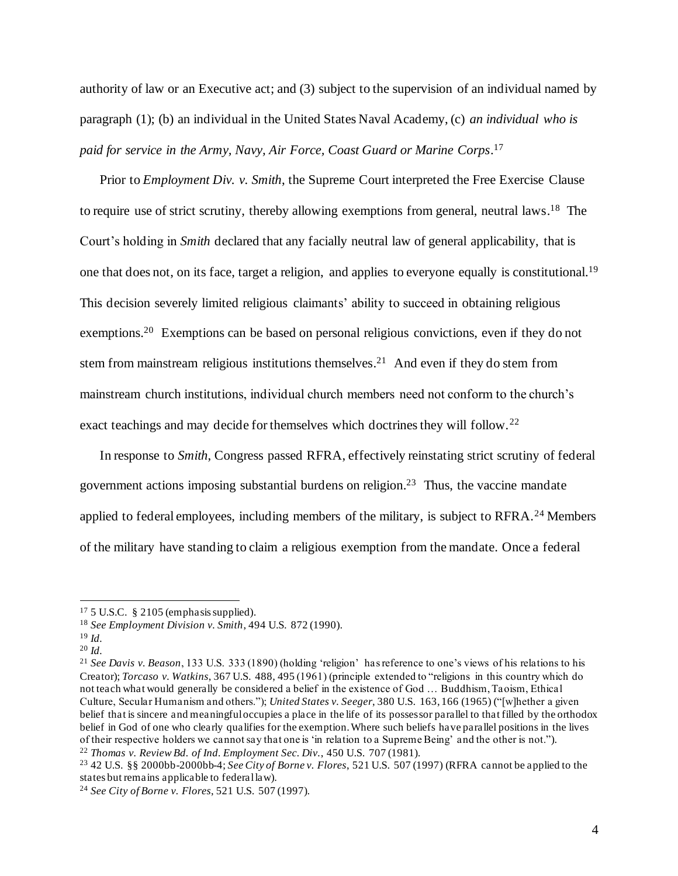authority of law or an Executive act; and (3) subject to the supervision of an individual named by paragraph (1); (b) an individual in the United States Naval Academy, (c) *an individual who is paid for service in the Army, Navy, Air Force, Coast Guard or Marine Corps*. 17

Prior to *Employment Div. v. Smith*, the Supreme Court interpreted the Free Exercise Clause to require use of strict scrutiny, thereby allowing exemptions from general, neutral laws.<sup>18</sup> The Court's holding in *Smith* declared that any facially neutral law of general applicability, that is one that does not, on its face, target a religion, and applies to everyone equally is constitutional.<sup>19</sup> This decision severely limited religious claimants' ability to succeed in obtaining religious exemptions.<sup>20</sup> Exemptions can be based on personal religious convictions, even if they do not stem from mainstream religious institutions themselves.<sup>21</sup> And even if they do stem from mainstream church institutions, individual church members need not conform to the church's exact teachings and may decide for themselves which doctrines they will follow.<sup>22</sup>

In response to *Smith*, Congress passed RFRA, effectively reinstating strict scrutiny of federal government actions imposing substantial burdens on religion. 23 Thus, the vaccine mandate applied to federal employees, including members of the military, is subject to RFRA.<sup>24</sup> Members of the military have standing to claim a religious exemption from the mandate. Once a federal

<sup>17</sup> 5 U.S.C. § 2105 (emphasis supplied).

<sup>18</sup> *See Employment Division v. Smith*, 494 U.S. 872 (1990).

<sup>19</sup> *Id.*

<sup>20</sup> *Id.* 

<sup>21</sup> *See Davis v. Beason*, 133 U.S. 333 (1890) (holding 'religion' has reference to one's views of his relations to his Creator); *Torcaso v. Watkins*, 367 U.S. 488, 495 (1961) (principle extended to "religions in this country which do not teach what would generally be considered a belief in the existence of God … Buddhism, Taoism, Ethical Culture, Secular Humanism and others."); *United States v. Seeger*, 380 U.S. 163, 166 (1965) ("[w]hether a given belief that is sincere and meaningful occupies a place in the life of its possessor parallel to that filled by the orthodox belief in God of one who clearly qualifies for the exemption. Where such beliefs have parallel positions in the lives of their respective holders we cannot say that one is 'in relation to a Supreme Being' and the other is not."). <sup>22</sup> *Thomas v. Review Bd. of Ind. Employment Sec. Div.*, 450 U.S. 707 (1981).

<sup>23</sup> 42 U.S. §§ 2000bb-2000bb-4; *See City of Borne v. Flores*, 521 U.S. 507 (1997) (RFRA cannot be applied to the states but remains applicable to federal law).

<sup>24</sup> *See City of Borne v. Flores*, 521 U.S. 507 (1997).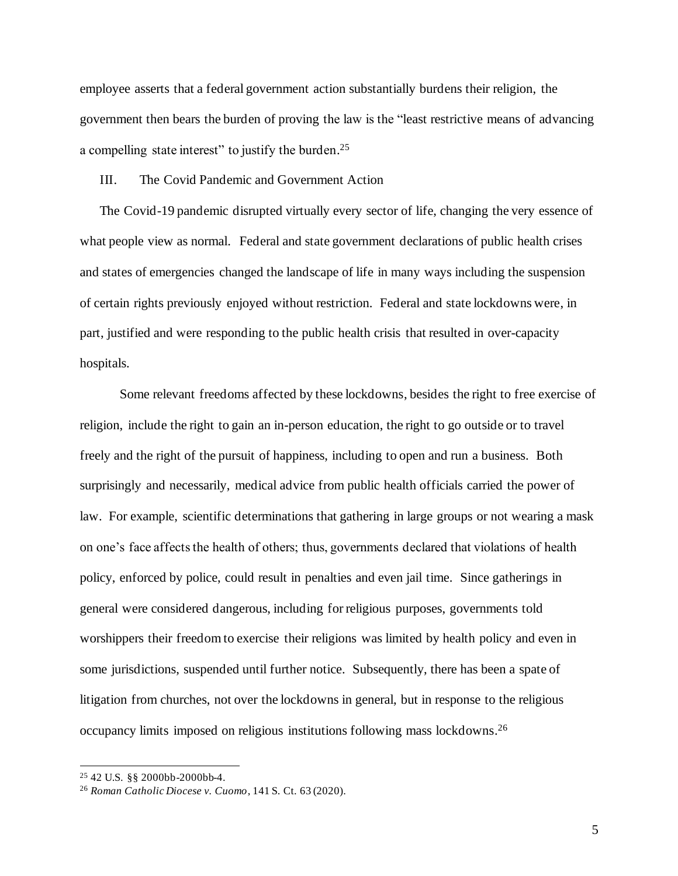employee asserts that a federal government action substantially burdens their religion, the government then bears the burden of proving the law is the "least restrictive means of advancing a compelling state interest" to justify the burden.<sup>25</sup>

#### III. The Covid Pandemic and Government Action

The Covid-19 pandemic disrupted virtually every sector of life, changing the very essence of what people view as normal. Federal and state government declarations of public health crises and states of emergencies changed the landscape of life in many ways including the suspension of certain rights previously enjoyed without restriction. Federal and state lockdowns were, in part, justified and were responding to the public health crisis that resulted in over-capacity hospitals.

Some relevant freedoms affected by these lockdowns, besides the right to free exercise of religion, include the right to gain an in-person education, the right to go outside or to travel freely and the right of the pursuit of happiness, including to open and run a business. Both surprisingly and necessarily, medical advice from public health officials carried the power of law. For example, scientific determinations that gathering in large groups or not wearing a mask on one's face affects the health of others; thus, governments declared that violations of health policy, enforced by police, could result in penalties and even jail time. Since gatherings in general were considered dangerous, including for religious purposes, governments told worshippers their freedom to exercise their religions was limited by health policy and even in some jurisdictions, suspended until further notice. Subsequently, there has been a spate of litigation from churches, not over the lockdowns in general, but in response to the religious occupancy limits imposed on religious institutions following mass lockdowns. 26

<sup>25</sup> 42 U.S. §§ 2000bb-2000bb-4.

<sup>26</sup> *Roman Catholic Diocese v. Cuomo*, 141 S. Ct. 63 (2020).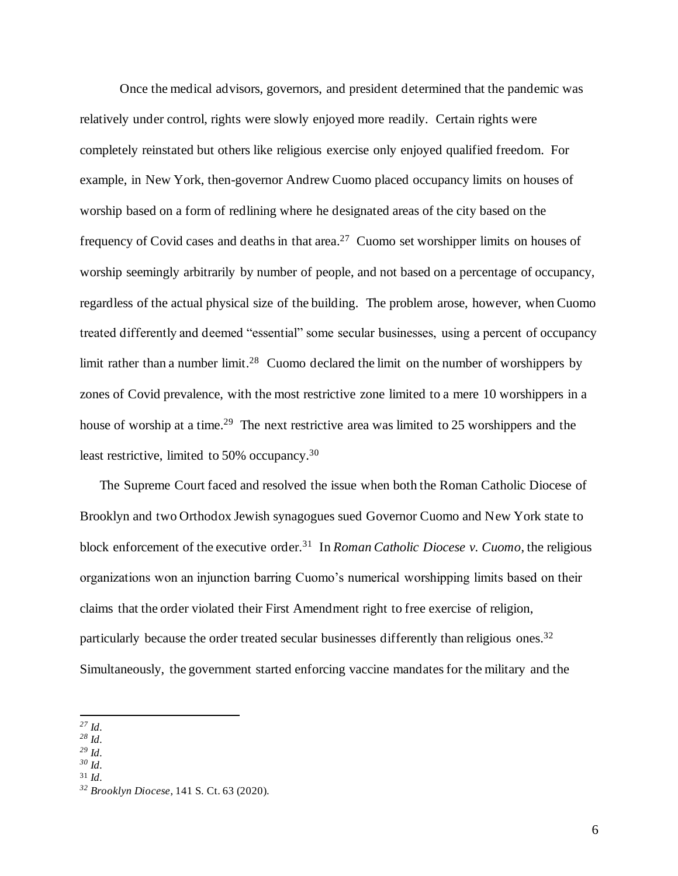Once the medical advisors, governors, and president determined that the pandemic was relatively under control, rights were slowly enjoyed more readily. Certain rights were completely reinstated but others like religious exercise only enjoyed qualified freedom. For example, in New York, then-governor Andrew Cuomo placed occupancy limits on houses of worship based on a form of redlining where he designated areas of the city based on the frequency of Covid cases and deaths in that area.<sup>27</sup> Cuomo set worshipper limits on houses of worship seemingly arbitrarily by number of people, and not based on a percentage of occupancy, regardless of the actual physical size of the building. The problem arose, however, when Cuomo treated differently and deemed "essential" some secular businesses, using a percent of occupancy limit rather than a number limit.<sup>28</sup> Cuomo declared the limit on the number of worshippers by zones of Covid prevalence, with the most restrictive zone limited to a mere 10 worshippers in a house of worship at a time.<sup>29</sup> The next restrictive area was limited to 25 worshippers and the least restrictive, limited to 50% occupancy.<sup>30</sup>

The Supreme Court faced and resolved the issue when both the Roman Catholic Diocese of Brooklyn and two Orthodox Jewish synagogues sued Governor Cuomo and New York state to block enforcement of the executive order.<sup>31</sup> In *Roman Catholic Diocese v. Cuomo*, the religious organizations won an injunction barring Cuomo's numerical worshipping limits based on their claims that the order violated their First Amendment right to free exercise of religion, particularly because the order treated secular businesses differently than religious ones.<sup>32</sup> Simultaneously, the government started enforcing vaccine mandates for the military and the

- *<sup>28</sup> Id.*
- *<sup>29</sup> Id.*
- *<sup>30</sup> Id.* <sup>31</sup> *Id.*
- 

*<sup>27</sup> Id.* 

*<sup>32</sup> Brooklyn Diocese*, 141 S. Ct. 63 (2020)*.*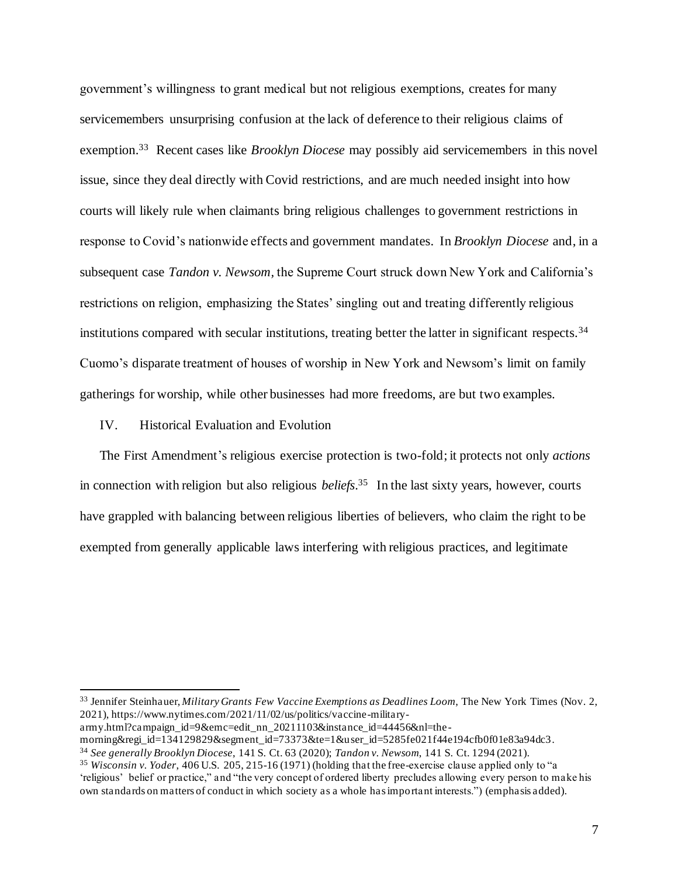government's willingness to grant medical but not religious exemptions, creates for many servicemembers unsurprising confusion at the lack of deference to their religious claims of exemption.<sup>33</sup> Recent cases like *Brooklyn Diocese* may possibly aid servicemembers in this novel issue, since they deal directly with Covid restrictions, and are much needed insight into how courts will likely rule when claimants bring religious challenges to government restrictions in response to Covid's nationwide effects and government mandates. In *Brooklyn Diocese* and, in a subsequent case *Tandon v. Newsom,* the Supreme Court struck down New York and California's restrictions on religion, emphasizing the States' singling out and treating differently religious institutions compared with secular institutions, treating better the latter in significant respects.<sup>34</sup> Cuomo's disparate treatment of houses of worship in New York and Newsom's limit on family gatherings for worship, while other businesses had more freedoms, are but two examples.

IV. Historical Evaluation and Evolution

The First Amendment's religious exercise protection is two-fold; it protects not only *actions* in connection with religion but also religious *beliefs*. <sup>35</sup> In the last sixty years, however, courts have grappled with balancing between religious liberties of believers, who claim the right to be exempted from generally applicable laws interfering with religious practices, and legitimate

<sup>33</sup> Jennifer Steinhauer, *Military Grants Few Vaccine Exemptions as Deadlines Loom*, The New York Times (Nov. 2, 2021), https://www.nytimes.com/2021/11/02/us/politics/vaccine-military-

army.html?campaign\_id=9&emc=edit\_nn\_20211103&instance\_id=44456&nl=the-

morning&regi\_id=134129829&segment\_id=73373&te=1&user\_id=5285fe021f44e194cfb0f01e83a94dc3.

<sup>34</sup> *See generally Brooklyn Diocese*, 141 S. Ct. 63 (2020); *Tandon v. Newsom*, 141 S. Ct. 1294 (2021).

<sup>35</sup> *Wisconsin v. Yoder*, 406 U.S. 205, 215-16 (1971) (holding that the free-exercise clause applied only to "a 'religious' belief or practice," and "the very concept of ordered liberty precludes allowing every person to make his own standards on matters of conduct in which society as a whole has important interests.") (emphasis added).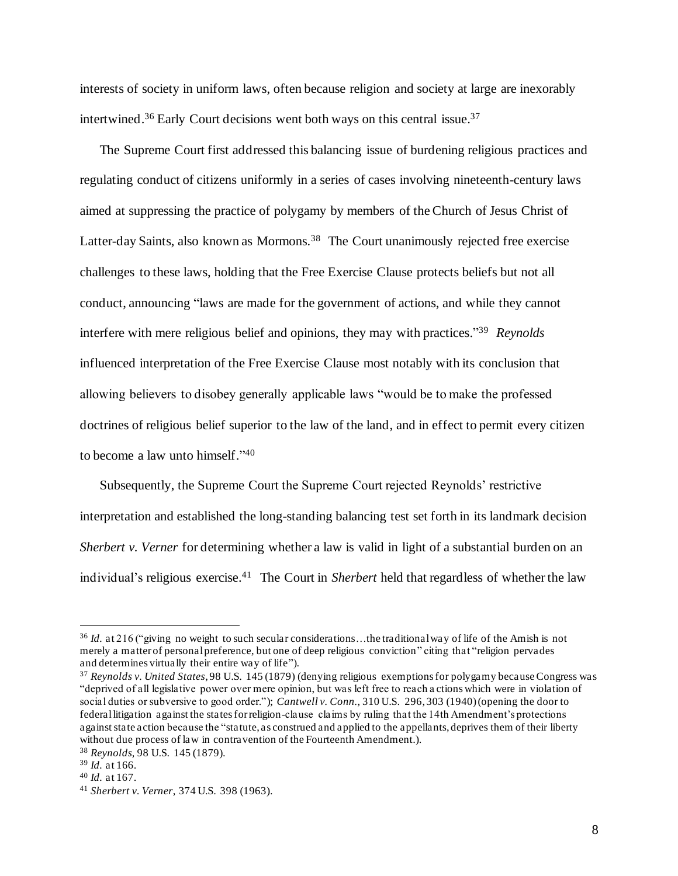interests of society in uniform laws, often because religion and society at large are inexorably intertwined.<sup>36</sup> Early Court decisions went both ways on this central issue.<sup>37</sup>

The Supreme Court first addressed this balancing issue of burdening religious practices and regulating conduct of citizens uniformly in a series of cases involving nineteenth-century laws aimed at suppressing the practice of polygamy by members of the Church of Jesus Christ of Latter-day Saints, also known as Mormons.<sup>38</sup> The Court unanimously rejected free exercise challenges to these laws, holding that the Free Exercise Clause protects beliefs but not all conduct, announcing "laws are made for the government of actions, and while they cannot interfere with mere religious belief and opinions, they may with practices." 39 *Reynolds* influenced interpretation of the Free Exercise Clause most notably with its conclusion that allowing believers to disobey generally applicable laws "would be to make the professed doctrines of religious belief superior to the law of the land, and in effect to permit every citizen to become a law unto himself." 40

Subsequently, the Supreme Court the Supreme Court rejected Reynolds' restrictive interpretation and established the long-standing balancing test set forth in its landmark decision *Sherbert v. Verner* for determining whether a law is valid in light of a substantial burden on an individual's religious exercise. 41 The Court in *Sherbert* held that regardless of whether the law

<sup>36</sup> *Id.* at 216 ("giving no weight to such secular considerations…the traditional way of life of the Amish is not merely a matter of personal preference, but one of deep religious conviction" citing that "religion pervades and determines virtually their entire way of life").

<sup>37</sup> *Reynolds v. United States*, 98 U.S. 145 (1879) (denying religious exemptions for polygamy because Congress was "deprived of all legislative power over mere opinion, but was left free to reach a ctions which were in violation of social duties or subversive to good order."); *Cantwell v. Conn.*, 310 U.S. 296, 303 (1940)(opening the door to federal litigation against the states for religion-clause claims by ruling that the 14th Amendment's protections against state action because the "statute, as construed and applied to the appellants, deprives them of their liberty without due process of law in contravention of the Fourteenth Amendment.).

<sup>38</sup> *Reynolds,* 98 U.S. 145 (1879).

<sup>39</sup> *Id.* at 166.

<sup>40</sup> *Id.* at 167.

<sup>41</sup> *Sherbert v. Verner*, 374 U.S. 398 (1963).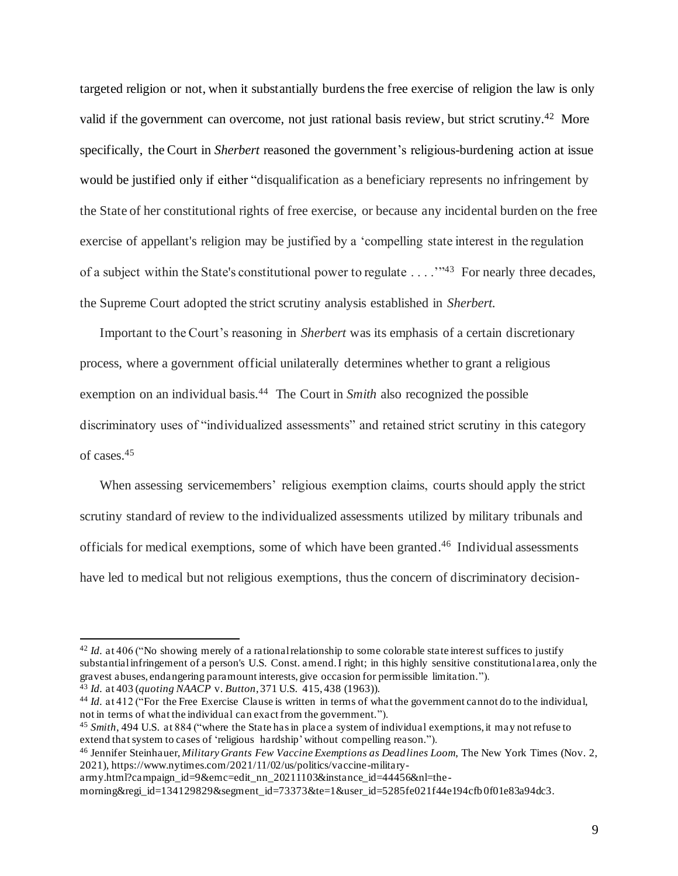targeted religion or not, when it substantially burdens the free exercise of religion the law is only valid if the government can overcome, not just rational basis review, but strict scrutiny.<sup>42</sup> More specifically, the Court in *Sherbert* reasoned the government's religious-burdening action at issue would be justified only if either "disqualification as a beneficiary represents no infringement by the State of her constitutional rights of free exercise, or because any incidental burden on the free exercise of appellant's religion may be justified by a 'compelling state interest in the regulation of a subject within the State's constitutional power to regulate . . . . "<sup>43</sup> For nearly three decades, the Supreme Court adopted the strict scrutiny analysis established in *Sherbert*.

Important to the Court's reasoning in *Sherbert* was its emphasis of a certain discretionary process, where a government official unilaterally determines whether to grant a religious exemption on an individual basis.<sup>44</sup> The Court in *Smith* also recognized the possible discriminatory uses of "individualized assessments" and retained strict scrutiny in this category of cases. 45

When assessing servicemembers' religious exemption claims, courts should apply the strict scrutiny standard of review to the individualized assessments utilized by military tribunals and officials for medical exemptions, some of which have been granted. 46 Individual assessments have led to medical but not religious exemptions, thus the concern of discriminatory decision-

<sup>&</sup>lt;sup>42</sup> *Id.* at 406 ("No showing merely of a rational relationship to some colorable state interest suffices to justify substantial infringement of a person's U.S. Const. amend. I right; in this highly sensitive constitutional area, only the gravest abuses, endangering paramount interests, give occasion for permissible limitation."). <sup>43</sup> *Id.* at 403 (*quoting NAACP* v. *Button*, 371 U.S. 415, 438 (1963)).

<sup>44</sup> *Id.* at 412 ("For the Free Exercise Clause is written in terms of what the government cannot do to the individual, not in terms of what the individual can exact from the government.").

<sup>45</sup> *Smith*, 494 U.S. at 884 ("where the State has in place a system of individual exemptions, it may not refuse to extend that system to cases of 'religious hardship'without compelling reason.").

<sup>46</sup> Jennifer Steinhauer, *Military Grants Few Vaccine Exemptions as Deadlines Loom*, The New York Times (Nov. 2, 2021), https://www.nytimes.com/2021/11/02/us/politics/vaccine-military-

army.html?campaign\_id=9&emc=edit\_nn\_20211103&instance\_id=44456&nl=the-

morning&regi\_id=134129829&segment\_id=73373&te=1&user\_id=5285fe021f44e194cfb 0f01e83a94dc3.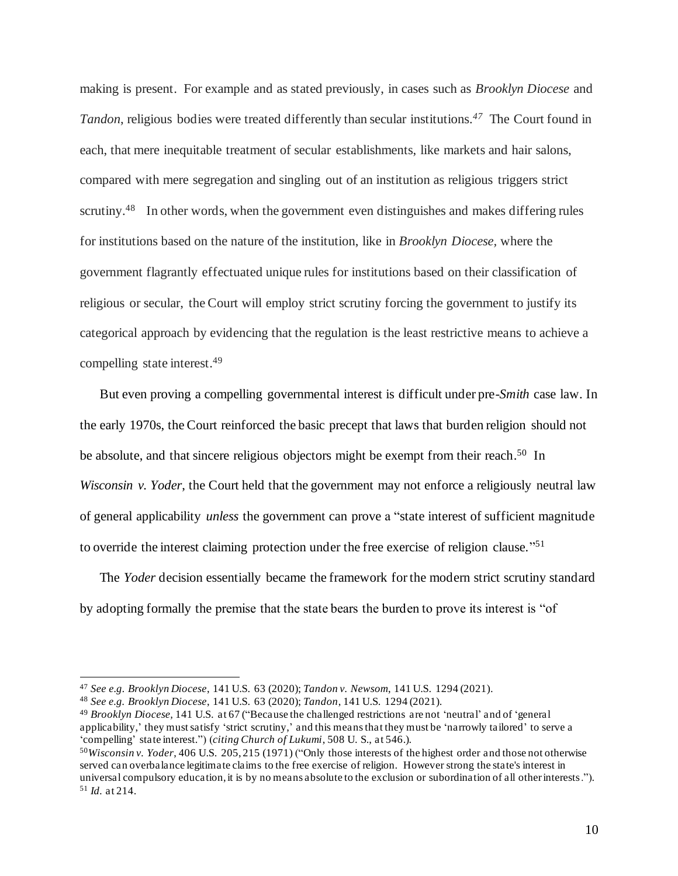making is present. For example and as stated previously, in cases such as *Brooklyn Diocese* and *Tandon*, religious bodies were treated differently than secular institutions.<sup>47</sup> The Court found in each, that mere inequitable treatment of secular establishments, like markets and hair salons, compared with mere segregation and singling out of an institution as religious triggers strict scrutiny.<sup>48</sup> In other words, when the government even distinguishes and makes differing rules for institutions based on the nature of the institution, like in *Brooklyn Diocese,* where the government flagrantly effectuated unique rules for institutions based on their classification of religious or secular, the Court will employ strict scrutiny forcing the government to justify its categorical approach by evidencing that the regulation is the least restrictive means to achieve a compelling state interest. 49

But even proving a compelling governmental interest is difficult under pre-*Smith* case law. In the early 1970s, the Court reinforced the basic precept that laws that burden religion should not be absolute, and that sincere religious objectors might be exempt from their reach.<sup>50</sup> In *Wisconsin v. Yoder*, the Court held that the government may not enforce a religiously neutral law of general applicability *unless* the government can prove a "state interest of sufficient magnitude to override the interest claiming protection under the free exercise of religion clause."<sup>51</sup>

The *Yoder* decision essentially became the framework for the modern strict scrutiny standard by adopting formally the premise that the state bears the burden to prove its interest is "of

<sup>47</sup> *See e.g. Brooklyn Diocese*, 141 U.S. 63 (2020); *Tandon v. Newsom*, 141 U.S. 1294 (2021).

<sup>48</sup> *See e.g. Brooklyn Diocese*, 141 U.S. 63 (2020); *Tandon*, 141 U.S. 1294 (2021).

<sup>49</sup> *Brooklyn Diocese,* 141 U.S. at 67 ("Because the challenged restrictions are not 'neutral' and of 'general applicability,' they must satisfy 'strict scrutiny,' and this meansthat they must be 'narrowly tailored' to serve a 'compelling' state interest.") (*citing Church of Lukumi*, 508 U. S., at 546.).

<sup>50</sup>*Wisconsin v. Yoder*, 406 U.S. 205, 215 (1971) ("Only those interests of the highest order and those not otherwise served can overbalance legitimate claims to the free exercise of religion. However strong the state's interest in universal compulsory education, it is by no means absolute to the exclusion or subordination of all other interests."). <sup>51</sup> *Id.* at 214.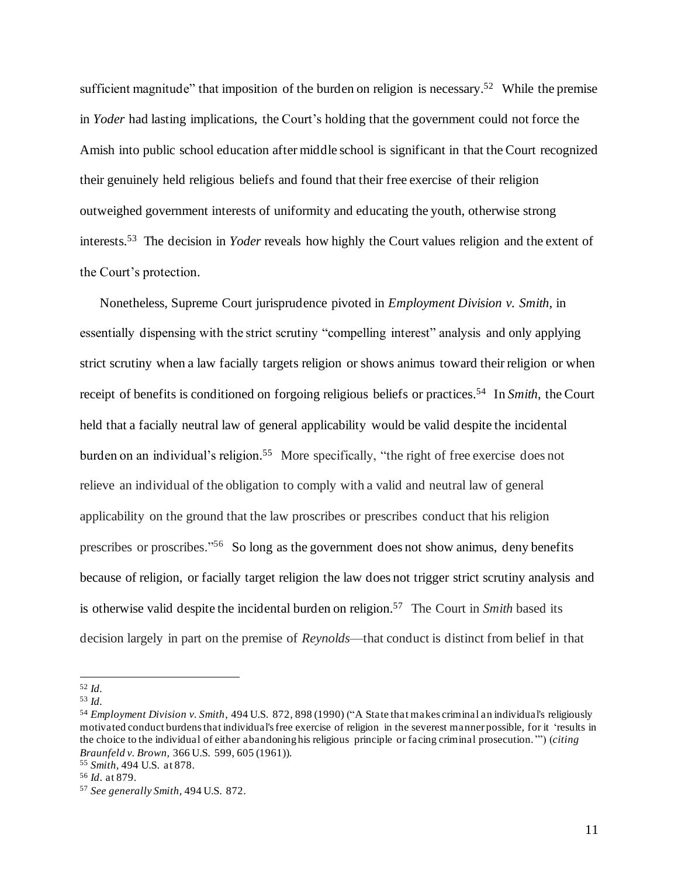sufficient magnitude" that imposition of the burden on religion is necessary.<sup>52</sup> While the premise in *Yoder* had lasting implications, the Court's holding that the government could not force the Amish into public school education after middle school is significant in that the Court recognized their genuinely held religious beliefs and found that their free exercise of their religion outweighed government interests of uniformity and educating the youth, otherwise strong interests. 53 The decision in *Yoder* reveals how highly the Court values religion and the extent of the Court's protection.

Nonetheless, Supreme Court jurisprudence pivoted in *Employment Division v. Smith,* in essentially dispensing with the strict scrutiny "compelling interest" analysis and only applying strict scrutiny when a law facially targets religion or shows animus toward their religion or when receipt of benefits is conditioned on forgoing religious beliefs or practices. 54 In *Smith*, the Court held that a facially neutral law of general applicability would be valid despite the incidental burden on an individual's religion.<sup>55</sup> More specifically, "the right of free exercise does not relieve an individual of the obligation to comply with a valid and neutral law of general applicability on the ground that the law proscribes or prescribes conduct that his religion prescribes or proscribes."<sup>56</sup> So long as the government does not show animus, deny benefits because of religion, or facially target religion the law does not trigger strict scrutiny analysis and is otherwise valid despite the incidental burden on religion. 57 The Court in *Smith* based its decision largely in part on the premise of *Reynolds*—that conduct is distinct from belief in that

<sup>52</sup> *Id.*

<sup>53</sup> *Id.*

<sup>54</sup> *Employment Division v. Smith*, 494 U.S. 872, 898 (1990) ("A State that makes criminal an individual's religiously motivated conduct burdens that individual's free exercise of religion in the severest manner possible, for it 'results in the choice to the individual of either abandoning his religious principle or facing criminal prosecution.'") (*citing Braunfeld v. Brown,* 366 U.S. 599, 605 (1961)).

<sup>55</sup> *Smith,* 494 U.S. at 878.

<sup>56</sup> *Id*. at 879.

<sup>57</sup> *See generally Smith,* 494 U.S. 872.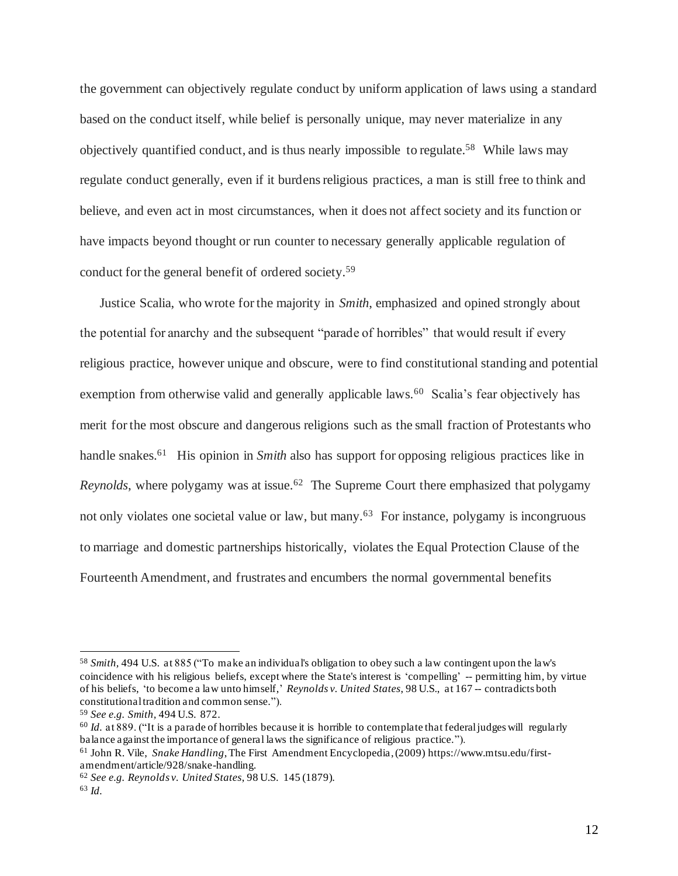the government can objectively regulate conduct by uniform application of laws using a standard based on the conduct itself, while belief is personally unique, may never materialize in any objectively quantified conduct, and is thus nearly impossible to regulate. 58 While laws may regulate conduct generally, even if it burdens religious practices, a man is still free to think and believe, and even act in most circumstances, when it does not affect society and its function or have impacts beyond thought or run counter to necessary generally applicable regulation of conduct for the general benefit of ordered society.<sup>59</sup>

Justice Scalia, who wrote for the majority in *Smith*, emphasized and opined strongly about the potential for anarchy and the subsequent "parade of horribles" that would result if every religious practice, however unique and obscure, were to find constitutional standing and potential exemption from otherwise valid and generally applicable laws.<sup>60</sup> Scalia's fear objectively has merit for the most obscure and dangerous religions such as the small fraction of Protestants who handle snakes.<sup>61</sup> His opinion in *Smith* also has support for opposing religious practices like in Reynolds, where polygamy was at issue.<sup>62</sup> The Supreme Court there emphasized that polygamy not only violates one societal value or law, but many.<sup>63</sup> For instance, polygamy is incongruous to marriage and domestic partnerships historically, violates the Equal Protection Clause of the Fourteenth Amendment, and frustrates and encumbers the normal governmental benefits

<sup>58</sup> *Smith,* 494 U.S. at 885 ("To make an individual's obligation to obey such a law contingent upon the law's coincidence with his religious beliefs, except where the State's interest is 'compelling' -- permitting him, by virtue of his beliefs, 'to become a law unto himself,' *Reynolds v. United States*, 98 U.S., at 167 -- contradicts both constitutional tradition and common sense.").

<sup>59</sup> *See e.g. Smith,* 494 U.S. 872.

<sup>60</sup> *Id.* at 889. ("It is a parade of horribles because it is horrible to contemplate that federal judges will regularly balance against the importance of general laws the significance of religious practice.").

<sup>61</sup> John R. Vile, *Snake Handling*, The First Amendment Encyclopedia, (2009) https://www.mtsu.edu/firstamendment/article/928/snake-handling.

<sup>62</sup> *See e.g. Reynolds v. United States*, 98 U.S. 145 (1879).

<sup>63</sup> *Id.*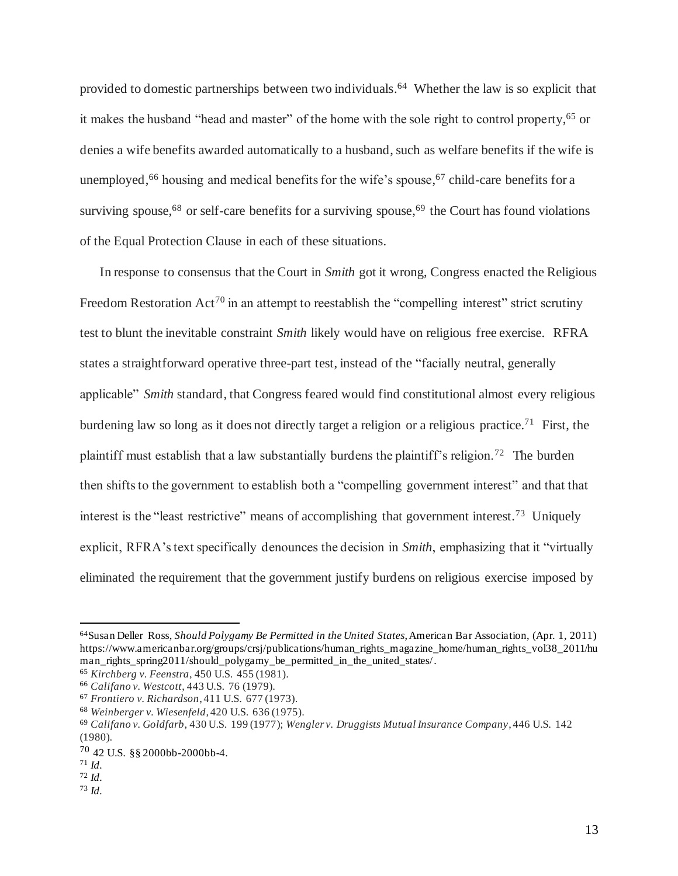provided to domestic partnerships between two individuals. 64 Whether the law is so explicit that it makes the husband "head and master" of the home with the sole right to control property, <sup>65</sup> or denies a wife benefits awarded automatically to a husband, such as welfare benefits if the wife is unemployed, <sup>66</sup> housing and medical benefits for the wife's spouse, <sup>67</sup> child-care benefits for a surviving spouse,<sup>68</sup> or self-care benefits for a surviving spouse,<sup>69</sup> the Court has found violations of the Equal Protection Clause in each of these situations.

In response to consensus that the Court in *Smith* got it wrong, Congress enacted the Religious Freedom Restoration  $Act^{70}$  in an attempt to reestablish the "compelling interest" strict scrutiny test to blunt the inevitable constraint *Smith* likely would have on religious free exercise. RFRA states a straightforward operative three-part test, instead of the "facially neutral, generally applicable" *Smith* standard, that Congress feared would find constitutional almost every religious burdening law so long as it does not directly target a religion or a religious practice.<sup>71</sup> First, the plaintiff must establish that a law substantially burdens the plaintiff's religion.<sup>72</sup> The burden then shifts to the government to establish both a "compelling government interest" and that that interest is the "least restrictive" means of accomplishing that government interest.<sup>73</sup> Uniquely explicit, RFRA's text specifically denounces the decision in *Smith*, emphasizing that it "virtually eliminated the requirement that the government justify burdens on religious exercise imposed by

<sup>64</sup>Susan Deller Ross, *Should Polygamy Be Permitted in the United States*, American Bar Association, (Apr. 1, 2011) https://www.americanbar.org/groups/crsj/publications/human\_rights\_magazine\_home/human\_rights\_vol38\_2011/hu man\_rights\_spring2011/should\_polygamy\_be\_permitted\_in\_the\_united\_states/.

<sup>65</sup> *Kirchberg v. Feenstra*, 450 U.S. 455 (1981).

<sup>66</sup> *Califano v. Westcott*, 443 U.S. 76 (1979).

<sup>67</sup> *Frontiero v. Richardson*, 411 U.S. 677 (1973).

<sup>68</sup> *Weinberger v. Wiesenfeld*, 420 U.S. 636 (1975).

<sup>69</sup> *Califano v. Goldfarb*, 430 U.S. 199 (1977); *Wengler v. Druggists Mutual Insurance Company*, 446 U.S. 142 (1980).

<sup>70</sup> 42 U.S. §§ 2000bb-2000bb-4.

 $71$  *Id.* 

<sup>72</sup> *Id.*

<sup>73</sup> *Id.*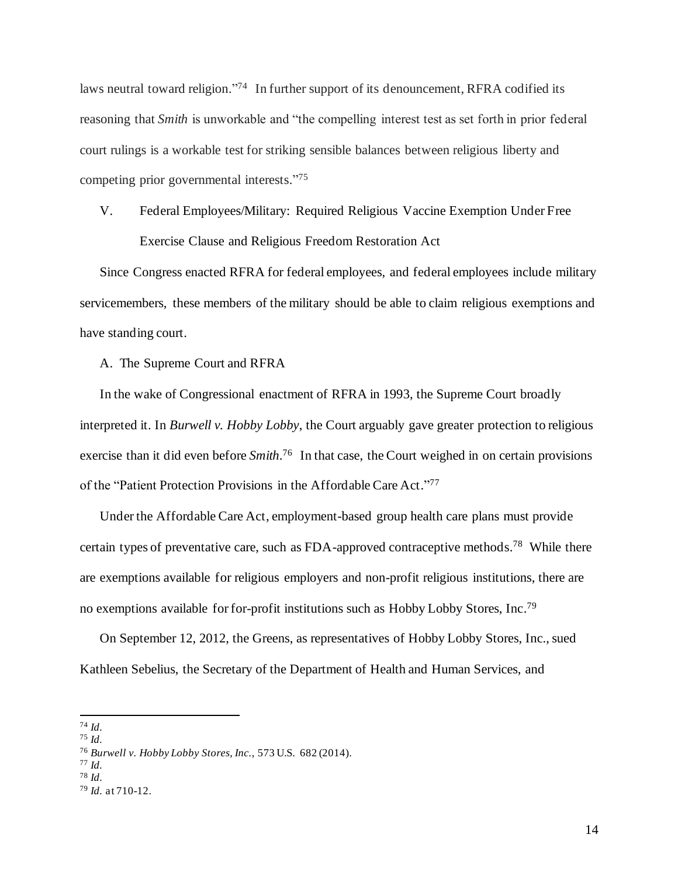laws neutral toward religion."<sup>74</sup> In further support of its denouncement, RFRA codified its reasoning that *Smith* is unworkable and "the compelling interest test as set forth in prior federal court rulings is a workable test for striking sensible balances between religious liberty and competing prior governmental interests." 75

# V. Federal Employees/Military: Required Religious Vaccine Exemption Under Free Exercise Clause and Religious Freedom Restoration Act

Since Congress enacted RFRA for federal employees, and federal employees include military servicemembers, these members of the military should be able to claim religious exemptions and have standing court.

A. The Supreme Court and RFRA

In the wake of Congressional enactment of RFRA in 1993, the Supreme Court broadly interpreted it. In *Burwell v. Hobby Lobby*, the Court arguably gave greater protection to religious exercise than it did even before *Smith*.<sup>76</sup> In that case, the Court weighed in on certain provisions of the "Patient Protection Provisions in the Affordable Care Act."77

Under the Affordable Care Act, employment-based group health care plans must provide certain types of preventative care, such as FDA-approved contraceptive methods.<sup>78</sup> While there are exemptions available for religious employers and non-profit religious institutions, there are no exemptions available for for-profit institutions such as Hobby Lobby Stores, Inc.<sup>79</sup>

On September 12, 2012, the Greens, as representatives of Hobby Lobby Stores, Inc., sued Kathleen Sebelius, the Secretary of the Department of Health and Human Services, and

<sup>77</sup> *Id.*

<sup>74</sup> *Id.*

<sup>75</sup> *Id.*

<sup>76</sup> *Burwell v. Hobby Lobby Stores, Inc.*, 573 U.S. 682 (2014).

<sup>78</sup> *Id.*

<sup>79</sup> *Id.* at 710-12.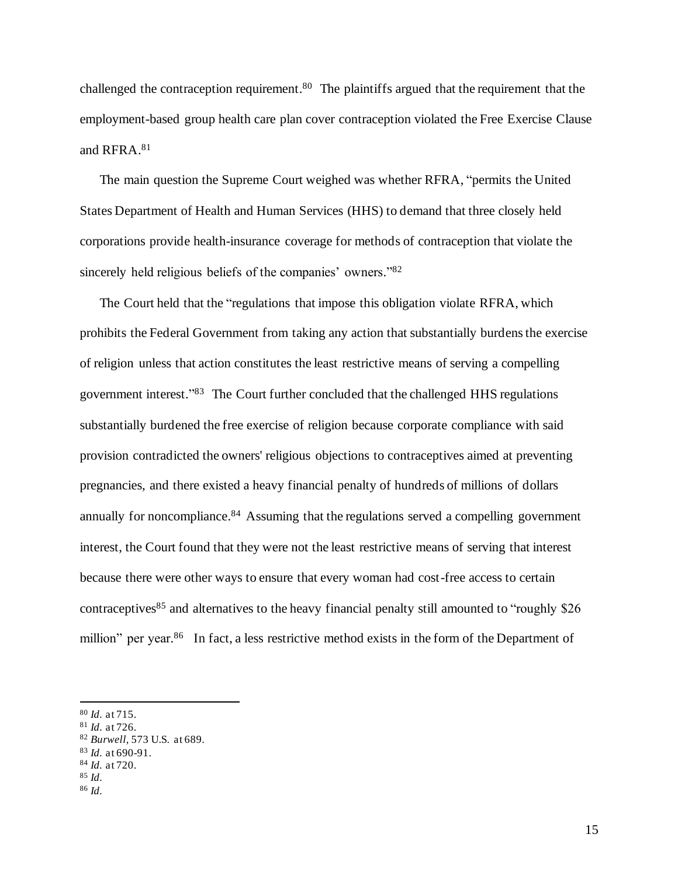challenged the contraception requirement.<sup>80</sup> The plaintiffs argued that the requirement that the employment-based group health care plan cover contraception violated the Free Exercise Clause and RFRA. 81

The main question the Supreme Court weighed was whether RFRA, "permits the United States Department of Health and Human Services (HHS) to demand that three closely held corporations provide health-insurance coverage for methods of contraception that violate the sincerely held religious beliefs of the companies' owners."82

The Court held that the "regulations that impose this obligation violate RFRA, which prohibits the Federal Government from taking any action that substantially burdens the exercise of religion unless that action constitutes the least restrictive means of serving a compelling government interest." 83 The Court further concluded that the challenged HHS regulations substantially burdened the free exercise of religion because corporate compliance with said provision contradicted the owners' religious objections to contraceptives aimed at preventing pregnancies, and there existed a heavy financial penalty of hundreds of millions of dollars annually for noncompliance.<sup>84</sup> Assuming that the regulations served a compelling government interest, the Court found that they were not the least restrictive means of serving that interest because there were other ways to ensure that every woman had cost-free access to certain contraceptives<sup>85</sup> and alternatives to the heavy financial penalty still amounted to "roughly \$26 million" per year.<sup>86</sup> In fact, a less restrictive method exists in the form of the Department of

- <sup>81</sup> *Id.* at 726.
- <sup>82</sup> *Burwell,* 573 U.S. at 689.
- <sup>83</sup> *Id.* at 690-91.

<sup>85</sup> *Id.*

<sup>80</sup> *Id.* at 715.

<sup>84</sup> *Id.* at 720.

<sup>86</sup> *Id.*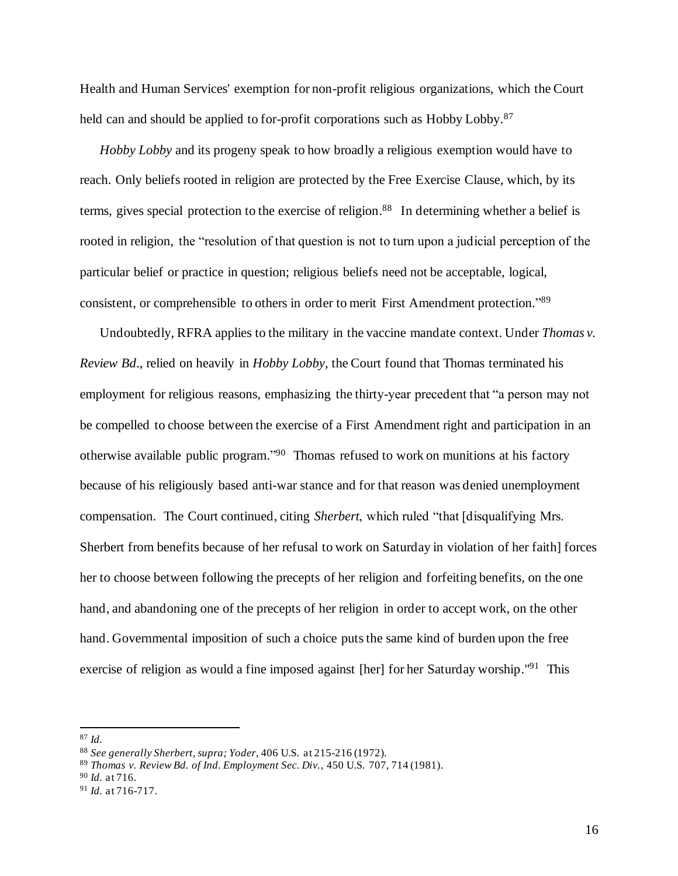Health and Human Services' exemption for non-profit religious organizations, which the Court held can and should be applied to for-profit corporations such as Hobby Lobby.<sup>87</sup>

*Hobby Lobby* and its progeny speak to how broadly a religious exemption would have to reach. Only beliefs rooted in religion are protected by the Free Exercise Clause, which, by its terms, gives special protection to the exercise of religion. 88 In determining whether a belief is rooted in religion, the "resolution of that question is not to turn upon a judicial perception of the particular belief or practice in question; religious beliefs need not be acceptable, logical, consistent, or comprehensible to others in order to merit First Amendment protection."89

Undoubtedly, RFRA applies to the military in the vaccine mandate context. Under *Thomas v. Review Bd*., relied on heavily in *Hobby Lobby*, the Court found that Thomas terminated his employment for religious reasons, emphasizing the thirty-year precedent that "a person may not be compelled to choose between the exercise of a First Amendment right and participation in an otherwise available public program." 90 Thomas refused to work on munitions at his factory because of his religiously based anti-war stance and for that reason was denied unemployment compensation. The Court continued, citing *Sherbert*, which ruled "that [disqualifying Mrs. Sherbert from benefits because of her refusal to work on Saturday in violation of her faith] forces her to choose between following the precepts of her religion and forfeiting benefits, on the one hand, and abandoning one of the precepts of her religion in order to accept work, on the other hand. Governmental imposition of such a choice puts the same kind of burden upon the free exercise of religion as would a fine imposed against [her] for her Saturday worship."<sup>91</sup> This

<sup>87</sup> *Id.*

<sup>88</sup> *See generally Sherbert, supra; Yoder*, 406 U.S. at 215-216 (1972).

<sup>89</sup> *Thomas v. Review Bd. of Ind. Employment Sec. Div.*, 450 U.S. 707, 714 (1981).

<sup>90</sup> *Id.* at 716.

<sup>91</sup> *Id.* at 716-717.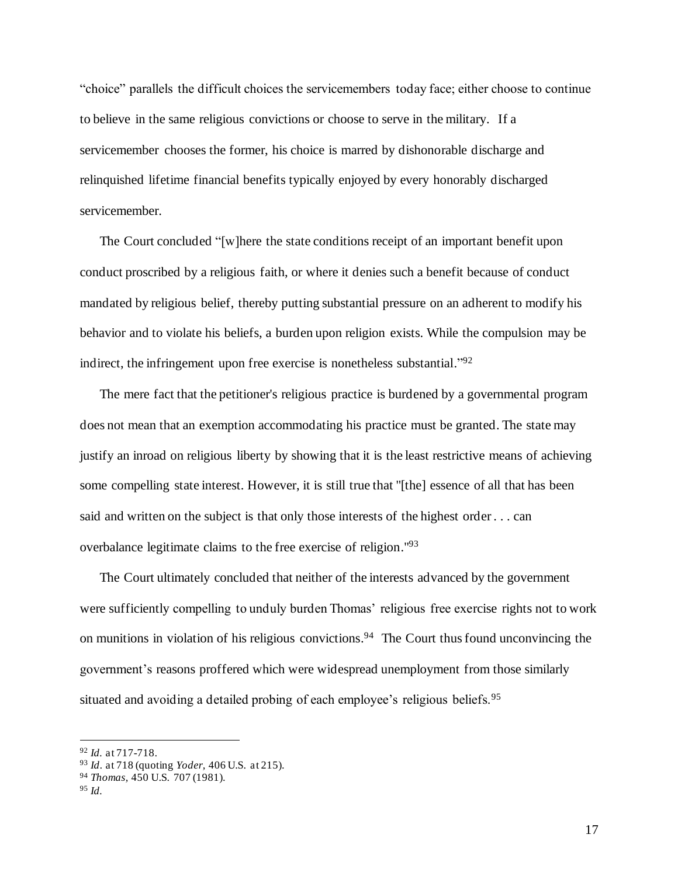"choice" parallels the difficult choices the servicemembers today face; either choose to continue to believe in the same religious convictions or choose to serve in the military. If a servicemember chooses the former, his choice is marred by dishonorable discharge and relinquished lifetime financial benefits typically enjoyed by every honorably discharged servicemember.

The Court concluded "[w]here the state conditions receipt of an important benefit upon conduct proscribed by a religious faith, or where it denies such a benefit because of conduct mandated by religious belief, thereby putting substantial pressure on an adherent to modify his behavior and to violate his beliefs, a burden upon religion exists. While the compulsion may be indirect, the infringement upon free exercise is nonetheless substantial."<sup>92</sup>

The mere fact that the petitioner's religious practice is burdened by a governmental program does not mean that an exemption accommodating his practice must be granted. The state may justify an inroad on religious liberty by showing that it is the least restrictive means of achieving some compelling state interest. However, it is still true that "[the] essence of all that has been said and written on the subject is that only those interests of the highest order . . . can overbalance legitimate claims to the free exercise of religion."<sup>93</sup>

The Court ultimately concluded that neither of the interests advanced by the government were sufficiently compelling to unduly burden Thomas' religious free exercise rights not to work on munitions in violation of his religious convictions. 94 The Court thus found unconvincing the government's reasons proffered which were widespread unemployment from those similarly situated and avoiding a detailed probing of each employee's religious beliefs.<sup>95</sup>

<sup>92</sup> *Id.* at 717-718.

<sup>93</sup> *Id*. at 718 (quoting *Yoder,* 406 U.S. at 215).

<sup>94</sup> *Thomas,* 450 U.S. 707 (1981).

<sup>95</sup> *Id.*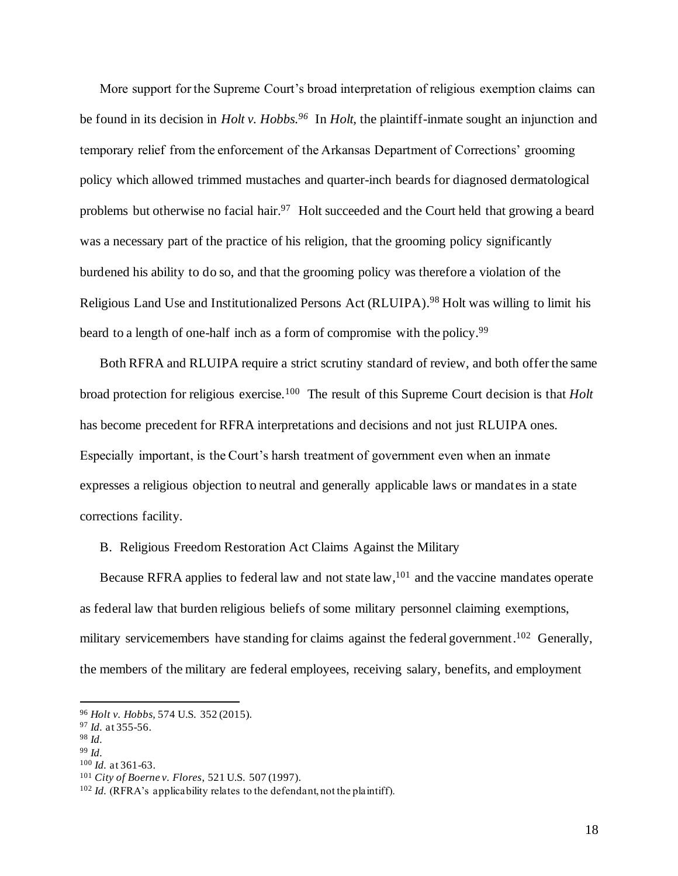More support for the Supreme Court's broad interpretation of religious exemption claims can be found in its decision in *Holt v. Hobbs. 96* In *Holt,* the plaintiff-inmate sought an injunction and temporary relief from the enforcement of the Arkansas Department of Corrections' grooming policy which allowed trimmed mustaches and quarter-inch beards for diagnosed dermatological problems but otherwise no facial hair.<sup>97</sup> Holt succeeded and the Court held that growing a beard was a necessary part of the practice of his religion, that the grooming policy significantly burdened his ability to do so, and that the grooming policy was therefore a violation of the Religious Land Use and Institutionalized Persons Act (RLUIPA).<sup>98</sup> Holt was willing to limit his beard to a length of one-half inch as a form of compromise with the policy.<sup>99</sup>

Both RFRA and RLUIPA require a strict scrutiny standard of review, and both offer the same broad protection for religious exercise.<sup>100</sup> The result of this Supreme Court decision is that *Holt*  has become precedent for RFRA interpretations and decisions and not just RLUIPA ones. Especially important, is the Court's harsh treatment of government even when an inmate expresses a religious objection to neutral and generally applicable laws or mandates in a state corrections facility.

B. Religious Freedom Restoration Act Claims Against the Military

Because RFRA applies to federal law and not state law, <sup>101</sup> and the vaccine mandates operate as federal law that burden religious beliefs of some military personnel claiming exemptions, military servicemembers have standing for claims against the federal government.<sup>102</sup> Generally, the members of the military are federal employees, receiving salary, benefits, and employment

<sup>99</sup> *Id.*

<sup>96</sup> *Holt v. Hobbs,* 574 U.S. 352 (2015).

<sup>97</sup> *Id.* at 355-56.

<sup>98</sup> *Id.*

<sup>100</sup> *Id.* at 361-63.

<sup>101</sup> *City of Boerne v. Flores*, 521 U.S. 507 (1997).

<sup>&</sup>lt;sup>102</sup> *Id.* (RFRA's applicability relates to the defendant, not the plaintiff).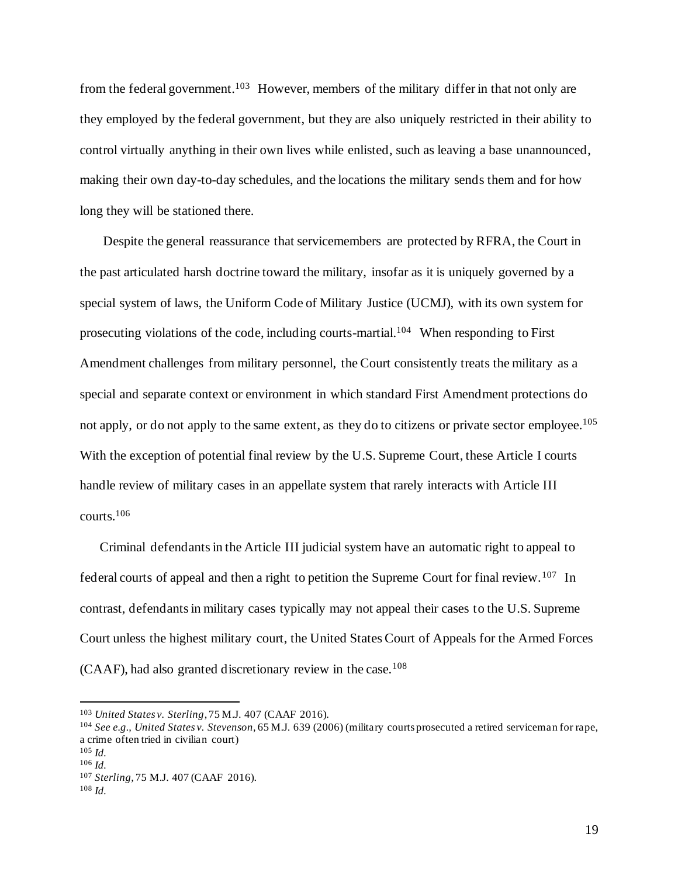from the federal government.<sup>103</sup> However, members of the military differ in that not only are they employed by the federal government, but they are also uniquely restricted in their ability to control virtually anything in their own lives while enlisted, such as leaving a base unannounced, making their own day-to-day schedules, and the locations the military sends them and for how long they will be stationed there.

Despite the general reassurance that servicemembers are protected by RFRA, the Court in the past articulated harsh doctrine toward the military, insofar as it is uniquely governed by a special system of laws, the Uniform Code of Military Justice (UCMJ), with its own system for prosecuting violations of the code, including courts-martial.<sup>104</sup> When responding to First Amendment challenges from military personnel, the Court consistently treats the military as a special and separate context or environment in which standard First Amendment protections do not apply, or do not apply to the same extent, as they do to citizens or private sector employee.<sup>105</sup> With the exception of potential final review by the U.S. Supreme Court, these Article I courts handle review of military cases in an appellate system that rarely interacts with Article III courts.<sup>106</sup>

Criminal defendants in the Article III judicial system have an automatic right to appeal to federal courts of appeal and then a right to petition the Supreme Court for final review.<sup>107</sup> In contrast, defendants in military cases typically may not appeal their cases to the U.S. Supreme Court unless the highest military court, the United States Court of Appeals for the Armed Forces (CAAF), had also granted discretionary review in the case.<sup>108</sup>

<sup>103</sup> *United States v. Sterling*, 75 M.J. 407 (CAAF 2016).

<sup>104</sup> *See e.g., United States v. Stevenson,* 65 M.J. 639 (2006) (military courts prosecuted a retired serviceman for rape, a crime often tried in civilian court)

<sup>105</sup> *Id.* <sup>106</sup> *Id.*

<sup>107</sup> *Sterling,* 75 M.J. 407 (CAAF 2016).

<sup>108</sup> *Id.*

<sup>19</sup>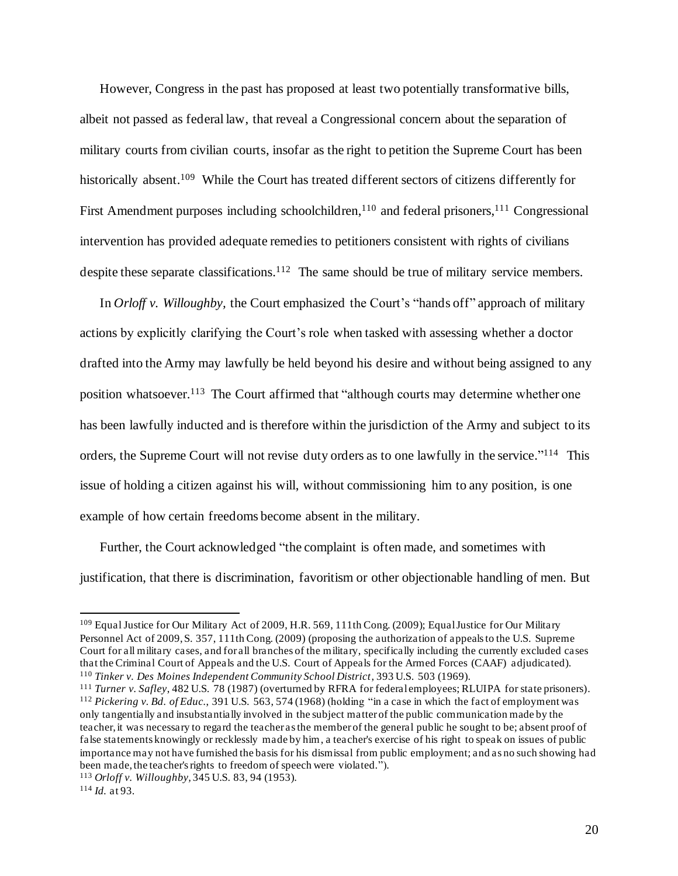However, Congress in the past has proposed at least two potentially transformative bills, albeit not passed as federal law, that reveal a Congressional concern about the separation of military courts from civilian courts, insofar as the right to petition the Supreme Court has been historically absent.<sup>109</sup> While the Court has treated different sectors of citizens differently for First Amendment purposes including schoolchildren,<sup>110</sup> and federal prisoners,<sup>111</sup> Congressional intervention has provided adequate remedies to petitioners consistent with rights of civilians despite these separate classifications.<sup>112</sup> The same should be true of military service members.

In *Orloff v. Willoughby,* the Court emphasized the Court's "hands off" approach of military actions by explicitly clarifying the Court's role when tasked with assessing whether a doctor drafted into the Army may lawfully be held beyond his desire and without being assigned to any position whatsoever.<sup>113</sup> The Court affirmed that "although courts may determine whether one has been lawfully inducted and is therefore within the jurisdiction of the Army and subject to its orders, the Supreme Court will not revise duty orders as to one lawfully in the service."<sup>114</sup> This issue of holding a citizen against his will, without commissioning him to any position, is one example of how certain freedoms become absent in the military.

Further, the Court acknowledged "the complaint is often made, and sometimes with justification, that there is discrimination, favoritism or other objectionable handling of men. But

<sup>109</sup> Equal Justice for Our Military Act of 2009, H.R. 569, 111th Cong. (2009); Equal Justice for Our Military Personnel Act of 2009, S. 357, 111th Cong. (2009) (proposing the authorization of appeals to the U.S. Supreme Court for all military cases, and for all branches of the military, specifically including the currently excluded cases that the Criminal Court of Appeals and the U.S. Court of Appeals for the Armed Forces (CAAF) adjudicated). <sup>110</sup> *Tinker v. Des Moines Independent Community School District*, 393 U.S. 503 (1969).

<sup>111</sup> *Turner v. Safley*, 482 U.S. 78 (1987) (overturned by RFRA for federal employees; RLUIPA for state prisoners). <sup>112</sup> *Pickering v. Bd. of Educ.*, 391 U.S. 563, 574 (1968) (holding "in a case in which the fact of employment was only tangentially and insubstantially involved in the subject matter of the public communication made by the teacher, it was necessary to regard the teacher as the member of the general public he sought to be; absent proof of false statements knowingly or recklessly made by him, a teacher's exercise of his right to speak on issues of public importance may not have furnished the basis for his dismissal from public employment; and as no such showing had been made, the teacher's rights to freedom of speech were violated.").

<sup>113</sup> *Orloff v. Willoughby,* 345 U.S. 83, 94 (1953).

<sup>114</sup> *Id.* at 93.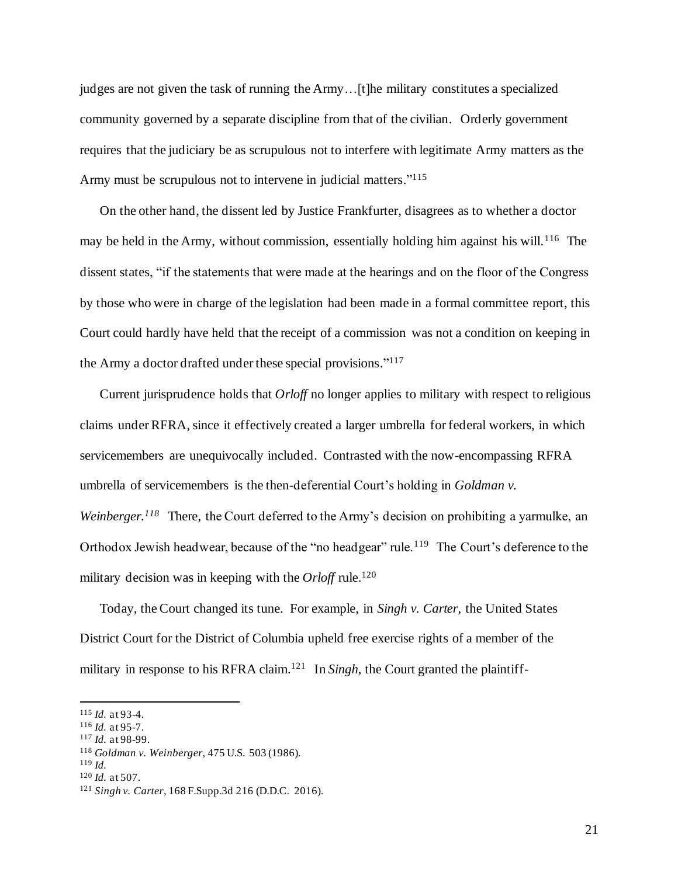judges are not given the task of running the Army…[t]he military constitutes a specialized community governed by a separate discipline from that of the civilian. Orderly government requires that the judiciary be as scrupulous not to interfere with legitimate Army matters as the Army must be scrupulous not to intervene in judicial matters."<sup>115</sup>

On the other hand, the dissent led by Justice Frankfurter, disagrees as to whether a doctor may be held in the Army, without commission, essentially holding him against his will.<sup>116</sup> The dissent states, "if the statements that were made at the hearings and on the floor of the Congress by those who were in charge of the legislation had been made in a formal committee report, this Court could hardly have held that the receipt of a commission was not a condition on keeping in the Army a doctor drafted under these special provisions." 117

Current jurisprudence holds that *Orloff* no longer applies to military with respect to religious claims under RFRA, since it effectively created a larger umbrella for federal workers, in which servicemembers are unequivocally included. Contrasted with the now-encompassing RFRA umbrella of servicemembers is the then-deferential Court's holding in *Goldman v.*  Weinberger.<sup>118</sup> There, the Court deferred to the Army's decision on prohibiting a yarmulke, an Orthodox Jewish headwear, because of the "no headgear" rule.<sup>119</sup> The Court's deference to the military decision was in keeping with the *Orloff* rule.<sup>120</sup>

Today, the Court changed its tune. For example, in *Singh v. Carter*, the United States District Court for the District of Columbia upheld free exercise rights of a member of the military in response to his RFRA claim.<sup>121</sup> In *Singh*, the Court granted the plaintiff-

<sup>115</sup> *Id.* at 93-4.

<sup>116</sup> *Id.* at 95-7.

<sup>117</sup> *Id.* at 98-99.

<sup>118</sup> *Goldman v. Weinberger,* 475 U.S. 503 (1986).

 $119$  *Id.* 

<sup>120</sup> *Id.* at 507.

<sup>121</sup> *Singh v. Carter*, 168 F.Supp.3d 216 (D.D.C. 2016).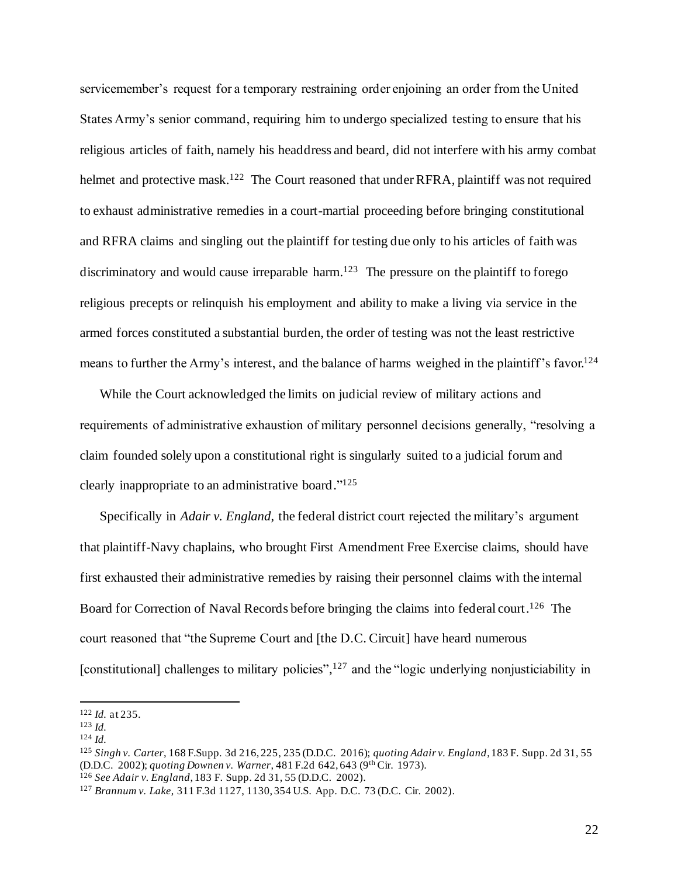servicemember's request for a temporary restraining order enjoining an order from the United States Army's senior command, requiring him to undergo specialized testing to ensure that his religious articles of faith, namely his headdress and beard, did not interfere with his army combat helmet and protective mask.<sup>122</sup> The Court reasoned that under RFRA, plaintiff was not required to exhaust administrative remedies in a court-martial proceeding before bringing constitutional and RFRA claims and singling out the plaintiff for testing due only to his articles of faith was discriminatory and would cause irreparable harm.<sup>123</sup> The pressure on the plaintiff to forego religious precepts or relinquish his employment and ability to make a living via service in the armed forces constituted a substantial burden, the order of testing was not the least restrictive means to further the Army's interest, and the balance of harms weighed in the plaintiff's favor.<sup>124</sup>

While the Court acknowledged the limits on judicial review of military actions and requirements of administrative exhaustion of military personnel decisions generally, "resolving a claim founded solely upon a constitutional right is singularly suited to a judicial forum and clearly inappropriate to an administrative board." 125

Specifically in *Adair v. England*, the federal district court rejected the military's argument that plaintiff-Navy chaplains, who brought First Amendment Free Exercise claims, should have first exhausted their administrative remedies by raising their personnel claims with the internal Board for Correction of Naval Records before bringing the claims into federal court.<sup>126</sup> The court reasoned that "the Supreme Court and [the D.C. Circuit] have heard numerous [constitutional] challenges to military policies",<sup>127</sup> and the "logic underlying nonjusticiability in

<sup>122</sup> *Id.* at 235.

<sup>123</sup> *Id.*

<sup>124</sup> *Id.*

<sup>125</sup> *Singh v. Carter*, 168 F.Supp. 3d 216, 225, 235 (D.D.C. 2016); *quoting Adair v. England*, 183 F. Supp. 2d 31, 55 (D.D.C. 2002); *quoting Downen v. Warner*, 481 F.2d 642, 643 (9th Cir. 1973). <sup>126</sup> *See Adair v. England*, 183 F. Supp. 2d 31, 55 (D.D.C. 2002).

<sup>127</sup> *Brannum v. Lake*, 311 F.3d 1127, 1130, 354 U.S. App. D.C. 73 (D.C. Cir. 2002).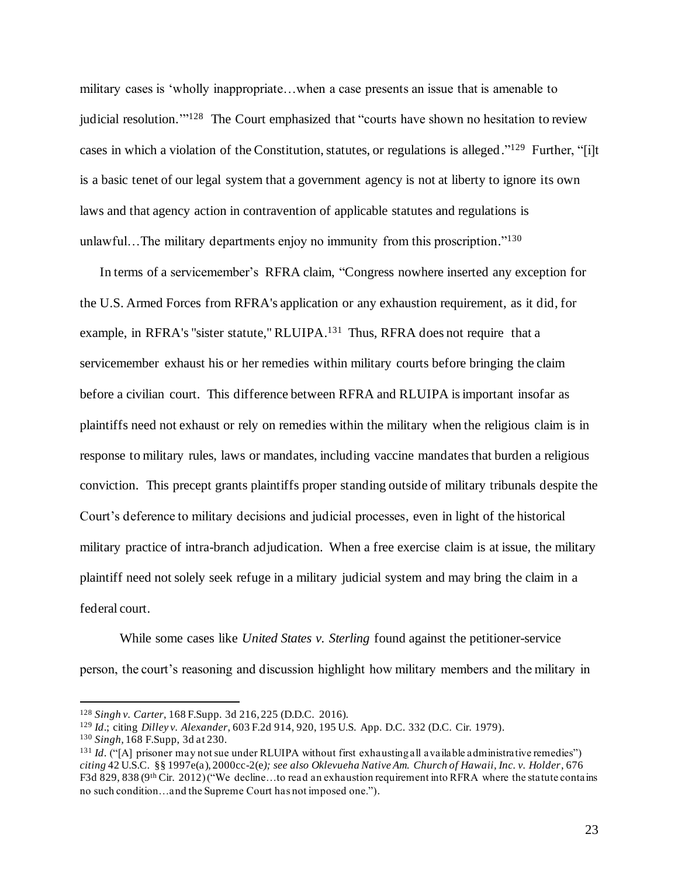military cases is 'wholly inappropriate…when a case presents an issue that is amenable to judicial resolution."<sup>128</sup> The Court emphasized that "courts have shown no hesitation to review cases in which a violation of the Constitution, statutes, or regulations is alleged."<sup>129</sup> Further, "[i]t is a basic tenet of our legal system that a government agency is not at liberty to ignore its own laws and that agency action in contravention of applicable statutes and regulations is unlawful...The military departments enjoy no immunity from this proscription."<sup>130</sup>

In terms of a servicemember's RFRA claim, "Congress nowhere inserted any exception for the U.S. Armed Forces from RFRA's application or any exhaustion requirement, as it did, for example, in RFRA's "sister statute," RLUIPA.<sup>131</sup> Thus, RFRA does not require that a servicemember exhaust his or her remedies within military courts before bringing the claim before a civilian court. This difference between RFRA and RLUIPA is important insofar as plaintiffs need not exhaust or rely on remedies within the military when the religious claim is in response to military rules, laws or mandates, including vaccine mandates that burden a religious conviction. This precept grants plaintiffs proper standing outside of military tribunals despite the Court's deference to military decisions and judicial processes, even in light of the historical military practice of intra-branch adjudication. When a free exercise claim is at issue, the military plaintiff need not solely seek refuge in a military judicial system and may bring the claim in a federal court.

While some cases like *United States v. Sterling* found against the petitioner-service person, the court's reasoning and discussion highlight how military members and the military in

<sup>130</sup> *Singh,* 168 F.Supp, 3d at 230.

<sup>128</sup> *Singh v. Carter*, 168 F.Supp. 3d 216, 225 (D.D.C. 2016).

<sup>129</sup> *Id*.; citing *Dilley v. Alexander*, 603 F.2d 914, 920, 195 U.S. App. D.C. 332 (D.C. Cir. 1979).

<sup>&</sup>lt;sup>131</sup> *Id.* ("[A] prisoner may not sue under RLUIPA without first exhausting all available administrative remedies") *citing* 42 U.S.C. §§ 1997e(a), 2000cc-2(e*); see also Oklevueha Native Am. Church of Hawaii, Inc. v. Holder*, 676 F3d 829, 838 (9th Cir. 2012) ("We decline…to read an exhaustion requirement into RFRA where the statute contains no such condition…and the Supreme Court has not imposed one.").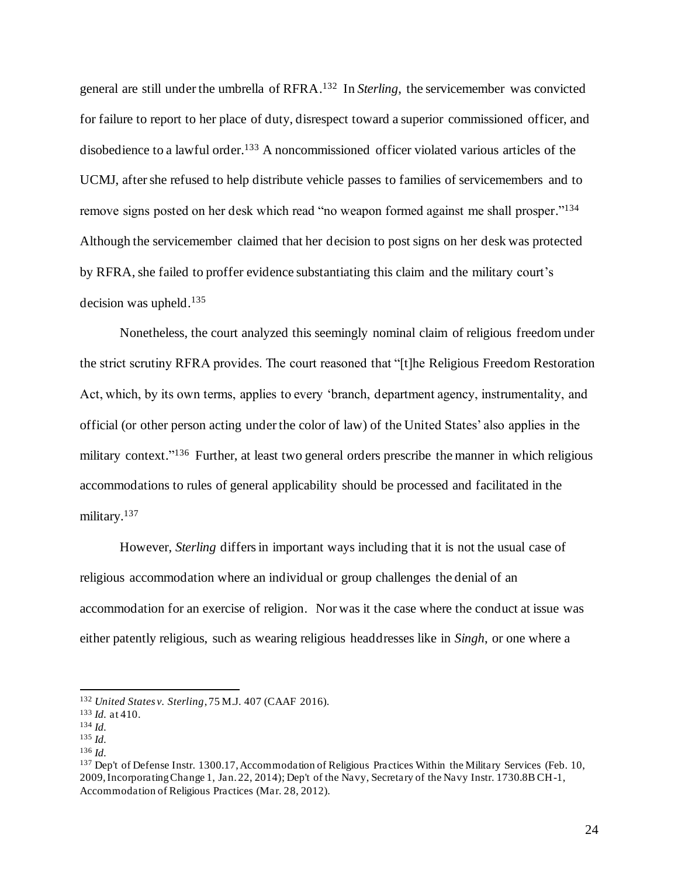general are still under the umbrella of RFRA. 132 In *Sterling*, the servicemember was convicted for failure to report to her place of duty, disrespect toward a superior commissioned officer, and disobedience to a lawful order. <sup>133</sup> A noncommissioned officer violated various articles of the UCMJ, after she refused to help distribute vehicle passes to families of servicemembers and to remove signs posted on her desk which read "no weapon formed against me shall prosper."<sup>134</sup> Although the servicemember claimed that her decision to post signs on her desk was protected by RFRA, she failed to proffer evidence substantiating this claim and the military court's decision was upheld.<sup>135</sup>

Nonetheless, the court analyzed this seemingly nominal claim of religious freedom under the strict scrutiny RFRA provides. The court reasoned that "[t]he Religious Freedom Restoration Act, which, by its own terms, applies to every 'branch, department agency, instrumentality, and official (or other person acting under the color of law) of the United States' also applies in the military context."<sup>136</sup> Further, at least two general orders prescribe the manner in which religious accommodations to rules of general applicability should be processed and facilitated in the military. 137

However, *Sterling* differs in important ways including that it is not the usual case of religious accommodation where an individual or group challenges the denial of an accommodation for an exercise of religion. Nor was it the case where the conduct at issue was either patently religious, such as wearing religious headdresses like in *Singh*, or one where a

<sup>132</sup> *United States v. Sterling*, 75 M.J. 407 (CAAF 2016).

<sup>133</sup> *Id.* at 410.

<sup>134</sup> *Id.*

<sup>135</sup> *Id.*

<sup>136</sup> *Id.* 

<sup>137</sup> Dep't of Defense Instr. 1300.17, Accommodation of Religious Practices Within the Military Services (Feb. 10, 2009, Incorporating Change 1, Jan. 22, 2014); Dep't of the Navy, Secretary of the Navy Instr. 1730.8B CH-1, Accommodation of Religious Practices (Mar. 28, 2012).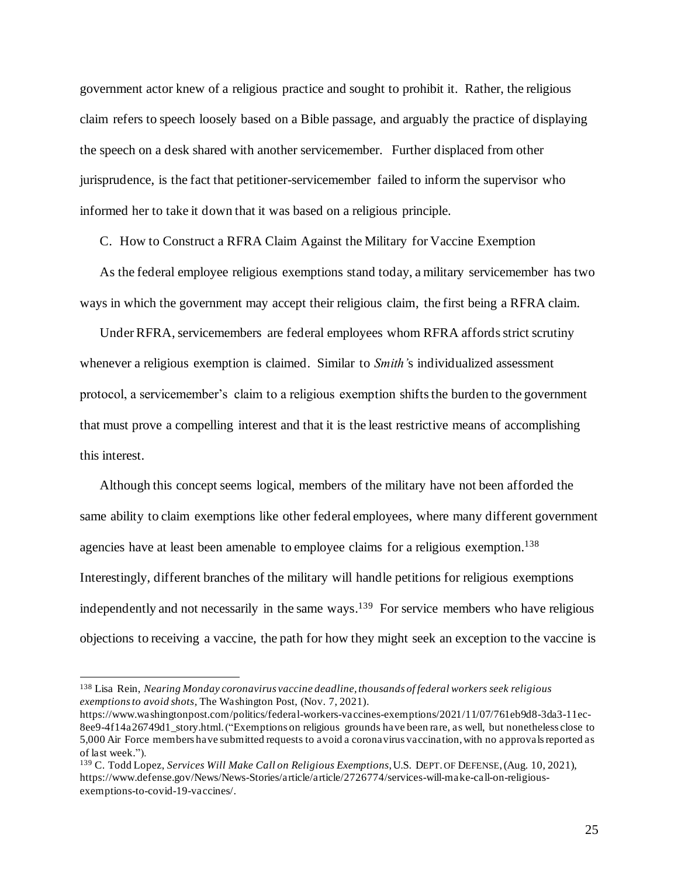government actor knew of a religious practice and sought to prohibit it. Rather, the religious claim refers to speech loosely based on a Bible passage, and arguably the practice of displaying the speech on a desk shared with another servicemember. Further displaced from other jurisprudence, is the fact that petitioner-servicemember failed to inform the supervisor who informed her to take it down that it was based on a religious principle.

C. How to Construct a RFRA Claim Against the Military for Vaccine Exemption

As the federal employee religious exemptions stand today, a military servicemember has two ways in which the government may accept their religious claim, the first being a RFRA claim.

Under RFRA, servicemembers are federal employees whom RFRA affords strict scrutiny whenever a religious exemption is claimed. Similar to *Smith'*s individualized assessment protocol, a servicemember's claim to a religious exemption shifts the burden to the government that must prove a compelling interest and that it is the least restrictive means of accomplishing this interest.

Although this concept seems logical, members of the military have not been afforded the same ability to claim exemptions like other federal employees, where many different government agencies have at least been amenable to employee claims for a religious exemption.<sup>138</sup> Interestingly, different branches of the military will handle petitions for religious exemptions independently and not necessarily in the same ways.<sup>139</sup> For service members who have religious objections to receiving a vaccine, the path for how they might seek an exception to the vaccine is

<sup>138</sup> Lisa Rein, *Nearing Monday coronavirus vaccine deadline, thousands of federal workers seek religious exemptions to avoid shots,* The Washington Post, (Nov. 7, 2021).

https://www.washingtonpost.com/politics/federal-workers-vaccines-exemptions/2021/11/07/761eb9d8-3da3-11ec-8ee9-4f14a26749d1\_story.html.("Exemptions on religious grounds have been rare, as well, but nonetheless close to 5,000 Air Force members have submitted requests to avoid a coronavirus vaccination, with no approvals reported as of last week.").

<sup>139</sup> C. Todd Lopez, *Services Will Make Call on Religious Exemptions*, U.S. DEPT. OF DEFENSE,(Aug. 10, 2021), https://www.defense.gov/News/News-Stories/article/article/2726774/services-will-make-call-on-religiousexemptions-to-covid-19-vaccines/.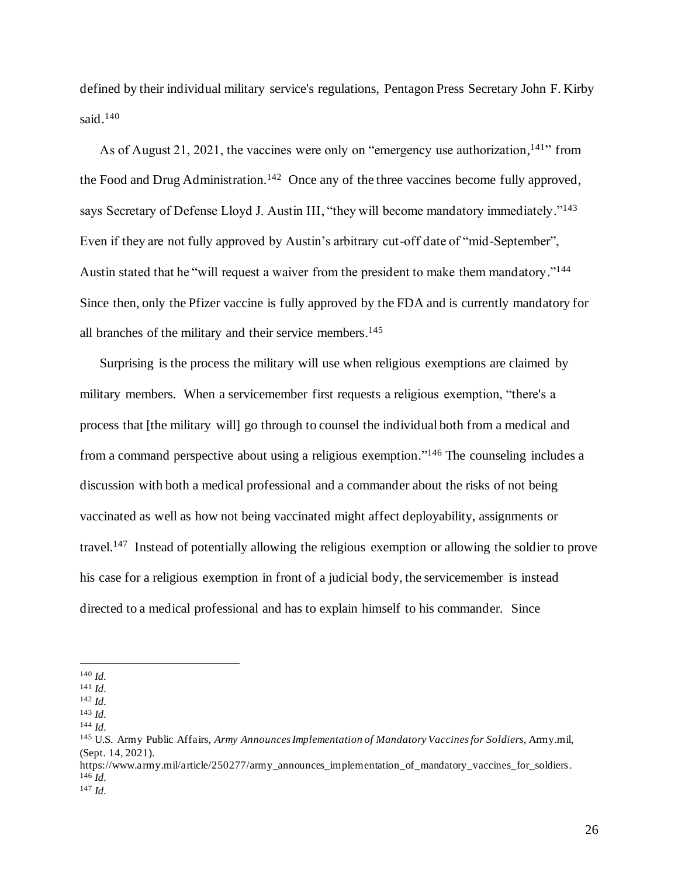defined by their individual military service's regulations, Pentagon Press Secretary John F. Kirby said. 140

As of August 21, 2021, the vaccines were only on "emergency use authorization,<sup>141</sup>" from the Food and Drug Administration.<sup>142</sup> Once any of the three vaccines become fully approved, says Secretary of Defense Lloyd J. Austin III, "they will become mandatory immediately."<sup>143</sup> Even if they are not fully approved by Austin's arbitrary cut-off date of "mid-September", Austin stated that he "will request a waiver from the president to make them mandatory."<sup>144</sup> Since then, only the Pfizer vaccine is fully approved by the FDA and is currently mandatory for all branches of the military and their service members. 145

Surprising is the process the military will use when religious exemptions are claimed by military members. When a servicemember first requests a religious exemption, "there's a process that [the military will] go through to counsel the individual both from a medical and from a command perspective about using a religious exemption."<sup>146</sup> The counseling includes a discussion with both a medical professional and a commander about the risks of not being vaccinated as well as how not being vaccinated might affect deployability, assignments or travel.<sup>147</sup> Instead of potentially allowing the religious exemption or allowing the soldier to prove his case for a religious exemption in front of a judicial body, the servicemember is instead directed to a medical professional and has to explain himself to his commander. Since

<sup>140</sup> *Id.* 

<sup>141</sup> *Id.*

<sup>142</sup> *Id.*

<sup>143</sup> *Id.* <sup>144</sup> *Id.*

<sup>145</sup> U.S. Army Public Affairs, *Army Announces Implementation of Mandatory Vaccines for Soldiers,* Army.mil, (Sept. 14, 2021).

https://www.army.mil/article/250277/army\_announces\_implementation\_of\_mandatory\_vaccines\_for\_soldiers.  $146$  *Id.* 

<sup>147</sup> *Id.*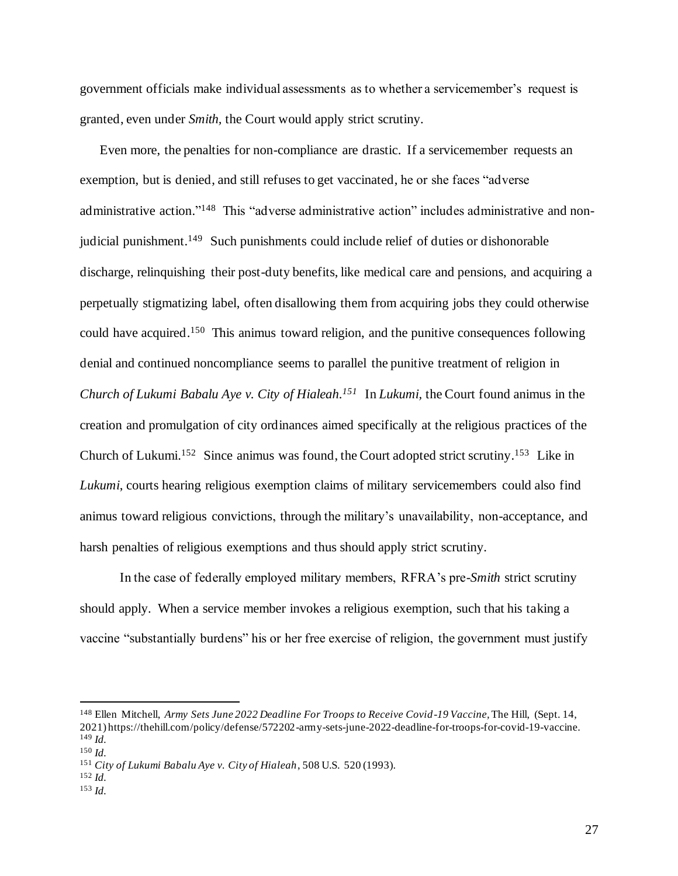government officials make individual assessments as to whether a servicemember's request is granted, even under *Smith,* the Court would apply strict scrutiny.

Even more, the penalties for non-compliance are drastic. If a servicemember requests an exemption, but is denied, and still refuses to get vaccinated, he or she faces "adverse administrative action."<sup>148</sup> This "adverse administrative action" includes administrative and nonjudicial punishment.<sup>149</sup> Such punishments could include relief of duties or dishonorable discharge, relinquishing their post-duty benefits, like medical care and pensions, and acquiring a perpetually stigmatizing label, often disallowing them from acquiring jobs they could otherwise could have acquired.<sup>150</sup> This animus toward religion, and the punitive consequences following denial and continued noncompliance seems to parallel the punitive treatment of religion in *Church of Lukumi Babalu Aye v. City of Hialeah. 151* In *Lukumi,* the Court found animus in the creation and promulgation of city ordinances aimed specifically at the religious practices of the Church of Lukumi.<sup>152</sup> Since animus was found, the Court adopted strict scrutiny.<sup>153</sup> Like in *Lukumi*, courts hearing religious exemption claims of military servicemembers could also find animus toward religious convictions, through the military's unavailability, non-acceptance, and harsh penalties of religious exemptions and thus should apply strict scrutiny.

In the case of federally employed military members, RFRA's pre-*Smith* strict scrutiny should apply. When a service member invokes a religious exemption, such that his taking a vaccine "substantially burdens" his or her free exercise of religion, the government must justify

<sup>&</sup>lt;sup>148</sup> Ellen Mitchell, *Army Sets June 2022 Deadline For Troops to Receive Covid-19 Vaccine*, The Hill, (Sept. 14, 2021) https://thehill.com/policy/defense/572202-army-sets-june-2022-deadline-for-troops-for-covid-19-vaccine. <sup>149</sup> *Id.*

<sup>150</sup> *Id.*

<sup>151</sup> *City of Lukumi Babalu Aye v. City of Hialeah*, 508 U.S. 520 (1993).

<sup>152</sup> *Id.*

<sup>153</sup> *Id.*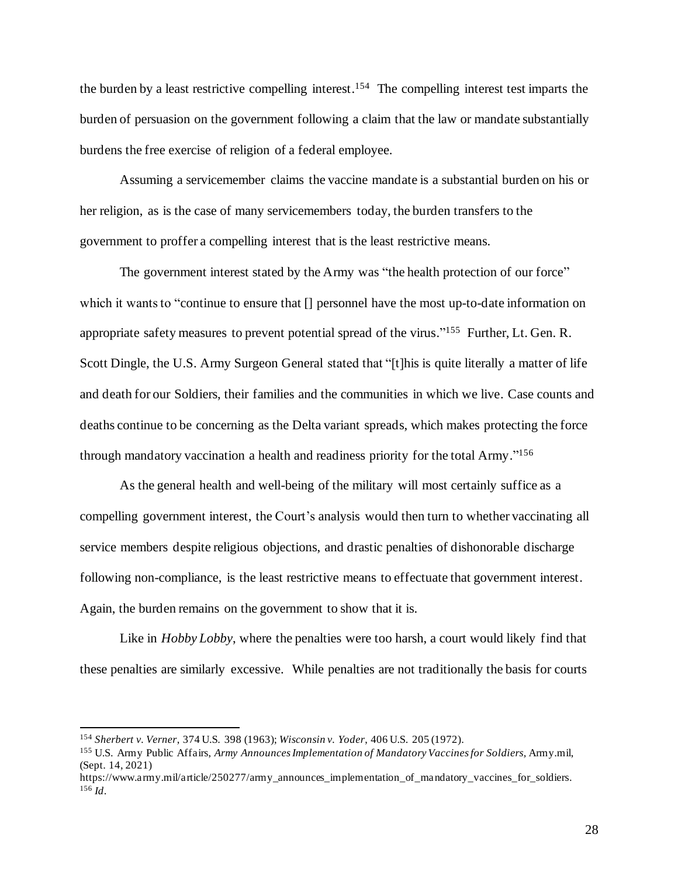the burden by a least restrictive compelling interest. 154 The compelling interest test imparts the burden of persuasion on the government following a claim that the law or mandate substantially burdens the free exercise of religion of a federal employee.

Assuming a servicemember claims the vaccine mandate is a substantial burden on his or her religion, as is the case of many servicemembers today, the burden transfers to the government to proffer a compelling interest that is the least restrictive means.

The government interest stated by the Army was "the health protection of our force" which it wants to "continue to ensure that [] personnel have the most up-to-date information on appropriate safety measures to prevent potential spread of the virus."<sup>155</sup> Further, Lt. Gen. R. Scott Dingle, the U.S. Army Surgeon General stated that "[t]his is quite literally a matter of life and death for our Soldiers, their families and the communities in which we live. Case counts and deaths continue to be concerning as the Delta variant spreads, which makes protecting the force through mandatory vaccination a health and readiness priority for the total Army."<sup>156</sup>

As the general health and well-being of the military will most certainly suffice as a compelling government interest, the Court's analysis would then turn to whether vaccinating all service members despite religious objections, and drastic penalties of dishonorable discharge following non-compliance, is the least restrictive means to effectuate that government interest. Again, the burden remains on the government to show that it is.

Like in *Hobby Lobby*, where the penalties were too harsh, a court would likely find that these penalties are similarly excessive. While penalties are not traditionally the basis for courts

<sup>154</sup> *Sherbert v. Verner*, 374 U.S. 398 (1963); *Wisconsin v. Yoder*, 406 U.S. 205 (1972).

<sup>155</sup> U.S. Army Public Affairs, *Army Announces Implementation of Mandatory Vaccines for Soldiers,* Army.mil, (Sept. 14, 2021)

https://www.army.mil/article/250277/army\_announces\_implementation\_of\_mandatory\_vaccines\_for\_soldiers. <sup>156</sup> *Id*.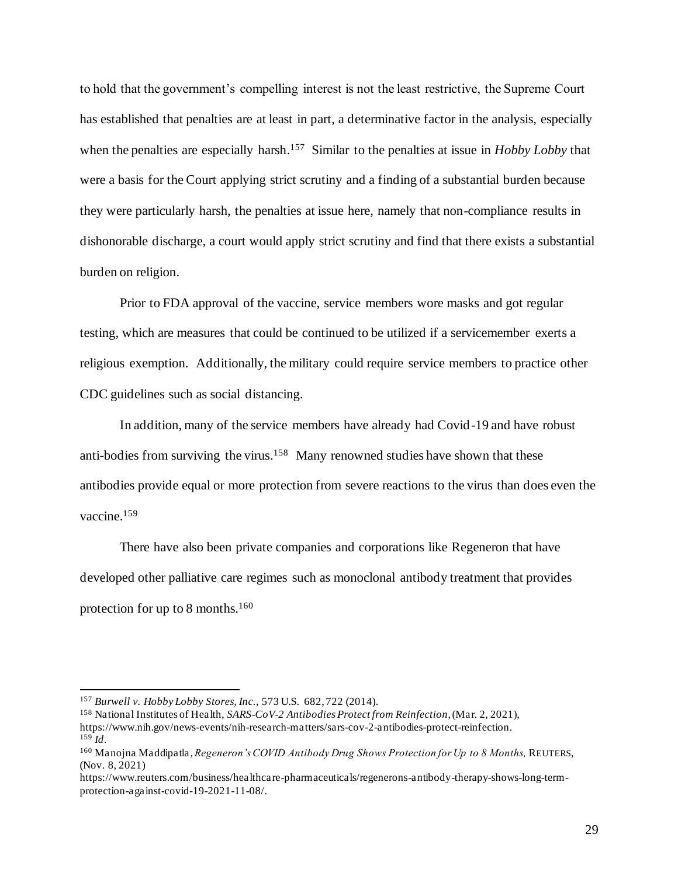to hold that the government's compelling interest is not the least restrictive, the Supreme Court has established that penalties are at least in part, a determinative factor in the analysis, especially when the penalties are especially harsh. 157 Similar to the penalties at issue in *Hobby Lobby* that were a basis for the Court applying strict scrutiny and a finding of a substantial burden because they were particularly harsh, the penalties at issue here, namely that non-compliance results in dishonorable discharge, a court would apply strict scrutiny and find that there exists a substantial burden on religion.

Prior to FDA approval of the vaccine, service members wore masks and got regular testing, which are measures that could be continued to be utilized if a servicemember exerts a religious exemption. Additionally, the military could require service members to practice other CDC guidelines such as social distancing.

In addition, many of the service members have already had Covid-19 and have robust anti-bodies from surviving the virus.<sup>158</sup> Many renowned studies have shown that these antibodies provide equal or more protection from severe reactions to the virus than does even the vaccine. 159

There have also been private companies and corporations like Regeneron that have developed other palliative care regimes such as monoclonal antibody treatment that provides protection for up to 8 months.<sup>160</sup>

<sup>157</sup> *Burwell v. Hobby Lobby Stores, Inc.*, 573 U.S. 682, 722 (2014).

<sup>158</sup> National Institutes of Health, *SARS-CoV-2 Antibodies Protect from Reinfection*, (Mar. 2, 2021), https://www.nih.gov/news-events/nih-research-matters/sars-cov-2-antibodies-protect-reinfection. <sup>159</sup> *Id*.

<sup>160</sup> Manojna Maddipatla , *Regeneron's COVID Antibody Drug Shows Protection for Up to 8 Months,* REUTERS, (Nov. 8, 2021)

https://www.reuters.com/business/healthcare-pharmaceuticals/regenerons-antibody-therapy-shows-long-termprotection-against-covid-19-2021-11-08/.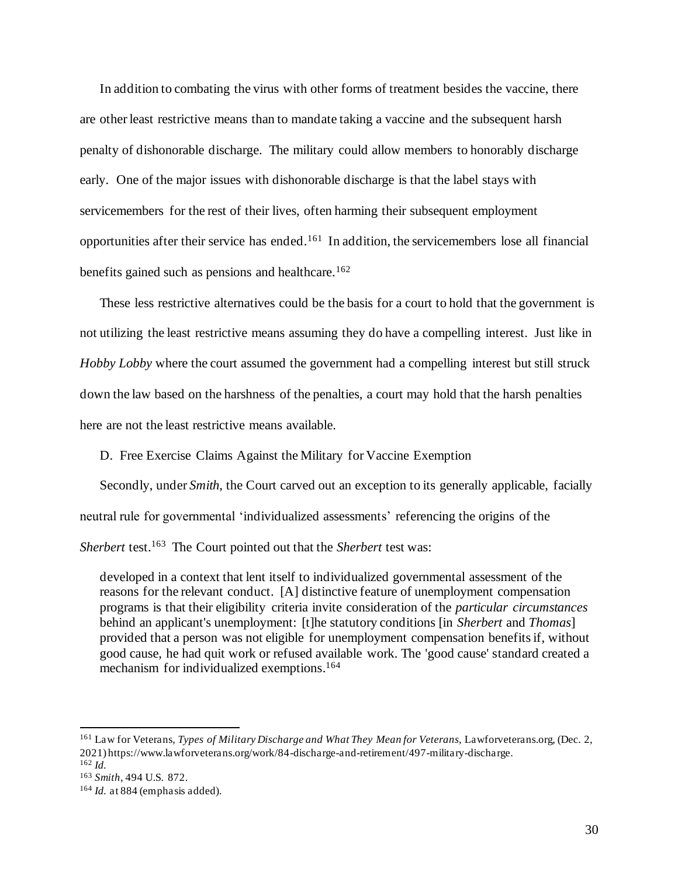In addition to combating the virus with other forms of treatment besides the vaccine, there are other least restrictive means than to mandate taking a vaccine and the subsequent harsh penalty of dishonorable discharge. The military could allow members to honorably discharge early. One of the major issues with dishonorable discharge is that the label stays with servicemembers for the rest of their lives, often harming their subsequent employment opportunities after their service has ended.<sup>161</sup> In addition, the servicemembers lose all financial benefits gained such as pensions and healthcare.<sup>162</sup>

These less restrictive alternatives could be the basis for a court to hold that the government is not utilizing the least restrictive means assuming they do have a compelling interest. Just like in *Hobby Lobby* where the court assumed the government had a compelling interest but still struck down the law based on the harshness of the penalties, a court may hold that the harsh penalties here are not the least restrictive means available.

D. Free Exercise Claims Against the Military for Vaccine Exemption

Secondly, under *Smith*, the Court carved out an exception to its generally applicable, facially neutral rule for governmental 'individualized assessments' referencing the origins of the *Sherbert* test. 163 The Court pointed out that the *Sherbert* test was:

developed in a context that lent itself to individualized governmental assessment of the reasons for the relevant conduct. [A] distinctive feature of unemployment compensation programs is that their eligibility criteria invite consideration of the *particular circumstances* behind an applicant's unemployment: [t]he statutory conditions [in *Sherbert* and *Thomas*] provided that a person was not eligible for unemployment compensation benefits if, without good cause, he had quit work or refused available work. The 'good cause' standard created a mechanism for individualized exemptions. 164

<sup>161</sup> Law for Veterans, *Types of Military Discharge and What They Mean for Veterans,* Lawforveterans.org, (Dec. 2, 2021) https://www.lawforveterans.org/work/84-discharge-and-retirement/497-military-discharge. <sup>162</sup> *Id.*

<sup>163</sup> *Smith*, 494 U.S. 872.

<sup>164</sup> *Id.* at 884 (emphasis added).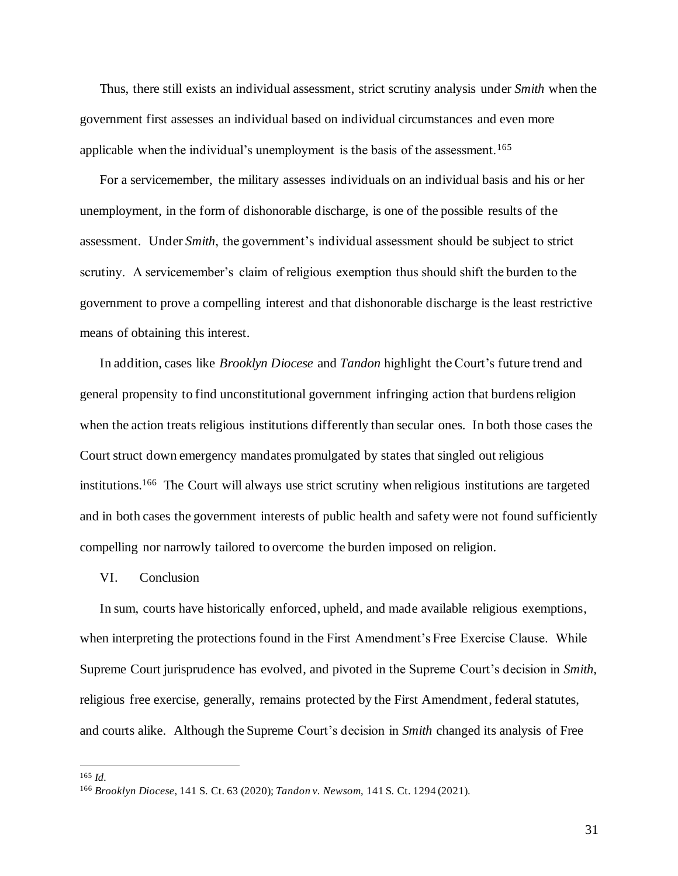Thus, there still exists an individual assessment, strict scrutiny analysis under *Smith* when the government first assesses an individual based on individual circumstances and even more applicable when the individual's unemployment is the basis of the assessment.<sup>165</sup>

For a servicemember, the military assesses individuals on an individual basis and his or her unemployment, in the form of dishonorable discharge, is one of the possible results of the assessment. Under *Smith*, the government's individual assessment should be subject to strict scrutiny. A servicemember's claim of religious exemption thus should shift the burden to the government to prove a compelling interest and that dishonorable discharge is the least restrictive means of obtaining this interest.

In addition, cases like *Brooklyn Diocese* and *Tandon* highlight the Court's future trend and general propensity to find unconstitutional government infringing action that burdens religion when the action treats religious institutions differently than secular ones. In both those cases the Court struct down emergency mandates promulgated by states that singled out religious institutions.<sup>166</sup> The Court will always use strict scrutiny when religious institutions are targeted and in both cases the government interests of public health and safety were not found sufficiently compelling nor narrowly tailored to overcome the burden imposed on religion.

## VI. Conclusion

In sum, courts have historically enforced, upheld, and made available religious exemptions, when interpreting the protections found in the First Amendment's Free Exercise Clause. While Supreme Court jurisprudence has evolved, and pivoted in the Supreme Court's decision in *Smith*, religious free exercise, generally, remains protected by the First Amendment, federal statutes, and courts alike. Although the Supreme Court's decision in *Smith* changed its analysis of Free

<sup>165</sup> *Id.*

<sup>166</sup> *Brooklyn Diocese*, 141 S. Ct. 63 (2020); *Tandon v. Newsom*, 141 S. Ct. 1294 (2021).